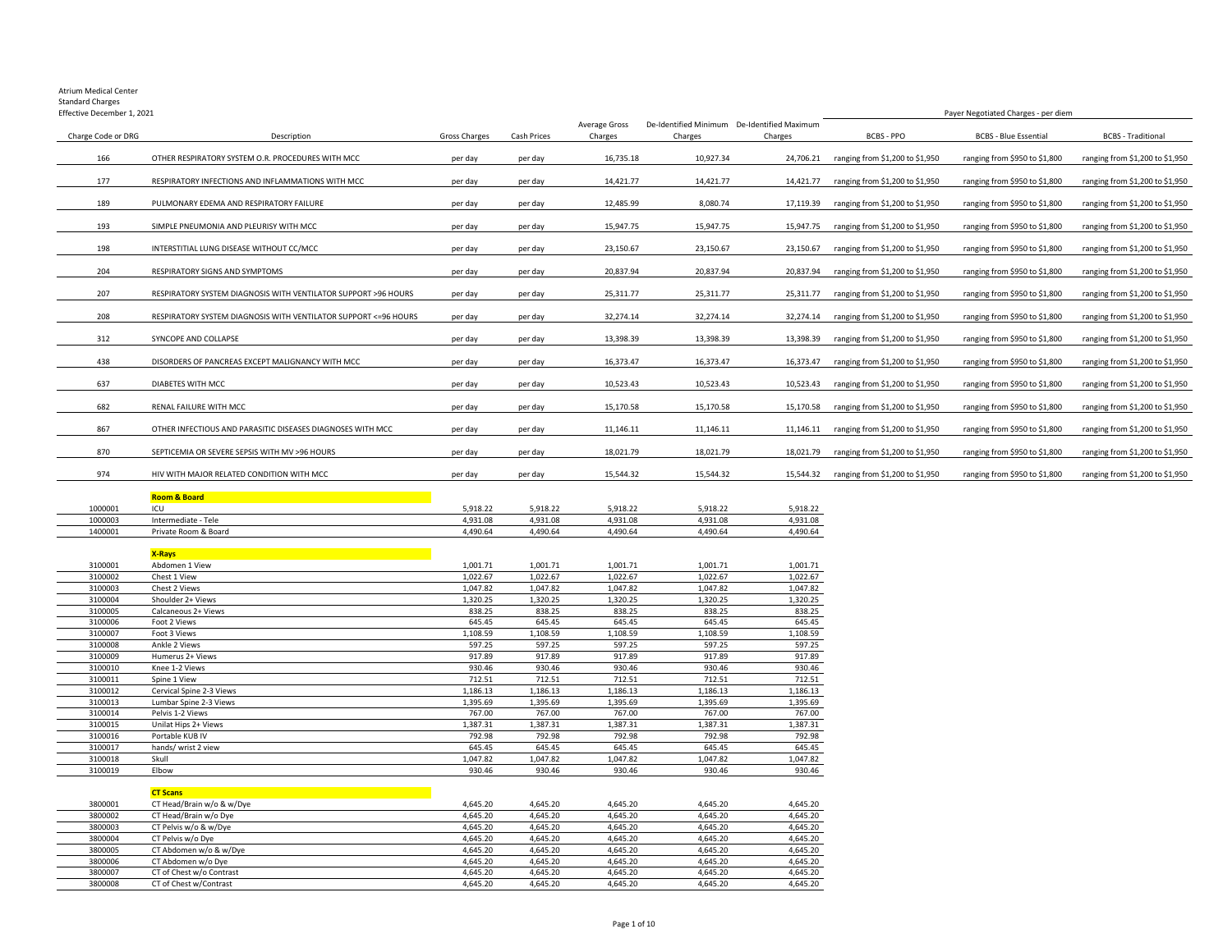#### Atrium Medical Center Standard Charges

| Effective December 1, 2021 |                                                                  |                      |             |                          |           | Payer Negotiated Charges - per diem                    |                                           |                               |                                 |
|----------------------------|------------------------------------------------------------------|----------------------|-------------|--------------------------|-----------|--------------------------------------------------------|-------------------------------------------|-------------------------------|---------------------------------|
| Charge Code or DRG         | Description                                                      | <b>Gross Charges</b> | Cash Prices | Average Gross<br>Charges | Charges   | De-Identified Minimum De-Identified Maximum<br>Charges | <b>BCBS - PPO</b>                         | <b>BCBS - Blue Essential</b>  | <b>BCBS</b> - Traditional       |
| 166                        | OTHER RESPIRATORY SYSTEM O.R. PROCEDURES WITH MCC                | per day              | per day     | 16,735.18                | 10,927.34 | 24,706.21                                              | ranging from \$1,200 to \$1,950           | ranging from \$950 to \$1,800 | ranging from \$1,200 to \$1,950 |
| 177                        | RESPIRATORY INFECTIONS AND INFLAMMATIONS WITH MCC                | per day              | per day     | 14,421.77                | 14,421.77 | 14,421.77                                              | ranging from \$1,200 to \$1,950           | ranging from \$950 to \$1,800 | ranging from \$1,200 to \$1,950 |
| 189                        | PULMONARY EDEMA AND RESPIRATORY FAILURE                          | per day              | per day     | 12,485.99                | 8,080.74  | 17,119.39                                              | ranging from \$1,200 to \$1,950           | ranging from \$950 to \$1,800 | ranging from \$1,200 to \$1,950 |
| 193                        | SIMPLE PNEUMONIA AND PLEURISY WITH MCC                           | per day              | per day     | 15,947.75                | 15,947.75 | 15,947.75                                              | ranging from \$1,200 to \$1,950           | ranging from \$950 to \$1,800 | ranging from \$1,200 to \$1,950 |
| 198                        | INTERSTITIAL LUNG DISEASE WITHOUT CC/MCC                         | per day              | per day     | 23,150.67                | 23,150.67 | 23,150.67                                              | ranging from \$1,200 to \$1,950           | ranging from \$950 to \$1,800 | ranging from \$1,200 to \$1,950 |
| 204                        | RESPIRATORY SIGNS AND SYMPTOMS                                   | per day              | per day     | 20,837.94                | 20,837.94 | 20,837.94                                              | ranging from \$1,200 to \$1,950           | ranging from \$950 to \$1,800 | ranging from \$1,200 to \$1,950 |
| 207                        | RESPIRATORY SYSTEM DIAGNOSIS WITH VENTILATOR SUPPORT >96 HOURS   | per day              | per day     | 25,311.77                | 25,311.77 | 25,311.77                                              | ranging from \$1,200 to \$1,950           | ranging from \$950 to \$1,800 | ranging from \$1,200 to \$1,950 |
| 208                        | RESPIRATORY SYSTEM DIAGNOSIS WITH VENTILATOR SUPPORT <= 96 HOURS | per day              | per day     | 32,274.14                | 32,274.14 | 32,274.14                                              | ranging from \$1,200 to \$1,950           | ranging from \$950 to \$1,800 | ranging from \$1,200 to \$1,950 |
| 312                        | SYNCOPE AND COLLAPSE                                             | per day              | per day     | 13,398.39                | 13,398.39 | 13,398.39                                              | ranging from \$1,200 to \$1,950           | ranging from \$950 to \$1,800 | ranging from \$1,200 to \$1,950 |
| 438                        | DISORDERS OF PANCREAS EXCEPT MALIGNANCY WITH MCC                 | per day              | per day     | 16,373.47                | 16,373.47 | 16,373.47                                              | ranging from \$1,200 to \$1,950           | ranging from \$950 to \$1,800 | ranging from \$1,200 to \$1,950 |
| 637                        | DIABETES WITH MCC                                                | per day              | per day     | 10,523.43                | 10,523.43 | 10.523.43                                              | ranging from \$1,200 to \$1,950           | ranging from \$950 to \$1,800 | ranging from \$1,200 to \$1,950 |
| 682                        | RENAL FAILURE WITH MCC                                           | per day              | per day     | 15,170.58                | 15,170.58 | 15,170.58                                              | ranging from \$1,200 to \$1,950           | ranging from \$950 to \$1,800 | ranging from \$1,200 to \$1,950 |
| 867                        | OTHER INFECTIOUS AND PARASITIC DISEASES DIAGNOSES WITH MCC       | per day              | per day     | 11,146.11                | 11,146.11 |                                                        | 11,146.11 ranging from \$1,200 to \$1,950 | ranging from \$950 to \$1,800 | ranging from \$1,200 to \$1,950 |
| 870                        | SEPTICEMIA OR SEVERE SEPSIS WITH MV >96 HOURS                    | per day              | per day     | 18,021.79                | 18,021.79 | 18,021.79                                              | ranging from \$1,200 to \$1,950           | ranging from \$950 to \$1,800 | ranging from \$1,200 to \$1,950 |
| 974                        | HIV WITH MAJOR RELATED CONDITION WITH MCC                        | per day              | per day     | 15.544.32                | 15.544.32 |                                                        | 15,544.32 ranging from \$1,200 to \$1,950 | ranging from \$950 to \$1,800 | ranging from \$1,200 to \$1,950 |

|         | <b>Room &amp; Board</b> |          |          |          |          |          |
|---------|-------------------------|----------|----------|----------|----------|----------|
| 1000001 | ICL                     | 5.918.22 | 5.918.22 | 5.918.22 | 5.918.22 | 5.918.22 |
| 1000003 | Intermediate - Tele     | 4.931.08 | 4.931.08 | 4.931.08 | 4.931.08 | 4.931.08 |
| 1400001 | Private Room & Board    | 4,490.64 | 4.490.64 | 4,490.64 | 4.490.64 | 1.490.64 |

### **X-Rays**

| 3100001 | Abdomen 1 View           | 1,001.71 | 1,001.71 | 1,001.71 | 1,001.71 | 1,001.71 |
|---------|--------------------------|----------|----------|----------|----------|----------|
| 3100002 | Chest 1 View             | 1,022.67 | 1,022.67 | 1,022.67 | 1,022.67 | 1,022.67 |
| 3100003 | Chest 2 Views            | 1,047.82 | 1,047.82 | 1,047.82 | 1,047.82 | 1,047.82 |
| 3100004 | Shoulder 2+ Views        | 1,320.25 | 1,320.25 | 1,320.25 | 1,320.25 | 1,320.25 |
| 3100005 | Calcaneous 2+ Views      | 838.25   | 838.25   | 838.25   | 838.25   | 838.25   |
| 3100006 | Foot 2 Views             | 645.45   | 645.45   | 645.45   | 645.45   | 645.45   |
| 3100007 | Foot 3 Views             | 1,108.59 | 1,108.59 | 1,108.59 | 1,108.59 | 1,108.59 |
| 3100008 | Ankle 2 Views            | 597.25   | 597.25   | 597.25   | 597.25   | 597.25   |
| 3100009 | Humerus 2+ Views         | 917.89   | 917.89   | 917.89   | 917.89   | 917.89   |
| 3100010 | Knee 1-2 Views           | 930.46   | 930.46   | 930.46   | 930.46   | 930.46   |
| 3100011 | Spine 1 View             | 712.51   | 712.51   | 712.51   | 712.51   | 712.51   |
| 3100012 | Cervical Spine 2-3 Views | 1,186.13 | 1,186.13 | 1,186.13 | 1,186.13 | 1,186.13 |
| 3100013 | Lumbar Spine 2-3 Views   | 1,395.69 | 1,395.69 | 1,395.69 | 1,395.69 | 1,395.69 |
| 3100014 | Pelvis 1-2 Views         | 767.00   | 767.00   | 767.00   | 767.00   | 767.00   |
| 3100015 | Unilat Hips 2+ Views     | 1,387.31 | 1,387.31 | 1,387.31 | 1,387.31 | 1,387.31 |
| 3100016 | Portable KUB IV          | 792.98   | 792.98   | 792.98   | 792.98   | 792.98   |
| 3100017 | hands/ wrist 2 view      | 645.45   | 645.45   | 645.45   | 645.45   | 645.45   |
| 3100018 | Skull                    | 1,047.82 | 1,047.82 | 1,047.82 | 1,047.82 | 1,047.82 |
| 3100019 | Elbow                    | 930.46   | 930.46   | 930.46   | 930.46   | 930.46   |

#### **CT Scans** 3800001 CT Head/Brain w/o & w/Dye the theory of the theory of the theory of the top of the top of the top of the top of the top of the top of the top of the top of the top of the top of the top of the top of the top of the 3800002 CT Head/Brain w/o Dye 4,645.20 4,645.20 4,645.20 4,645.20 4,645.20 4,645.20 4,645.20 4,645.20 4,645.20<br>3800003 CT Pelvis w/o & w/Dye 4,645.20 4,645.20 4,645.20 4,645.20 4,645.20 4,645.20 4,645.20 4,645.20 4,645.20 3800003 CT Pelvis w/o & w/Dye 4,645.20 4,645.20 4,645.20 4,645.20 4,645.20 4,645.20 4,645.20 4,645.20 4,645.20<br>3800004 CT Pelvis w/o Dye 4,645.20 4,645.20 4,645.20 4,645.20 4,645.20 4,645.20 4,645.20 4,645.20 4,645.20 3800004 CT Pelvis w/o Dye 4,645.20 4,645.20 4,645.20 4,645.20 4,645.20 4,645.20 4,645.20 4,645.20 4,645.20 4,645.20 4,645.20 4,645.20 4,645.20 4,645.20 4,645.20 4,645.20 4,645.20 4,645.20 4,645.20 4,645.20 4,645.20 4,645.2 3800005 CT Abdomen w/o & w/Dye 4,645.20 4,645.20 4,645.20 4,645.20 4,645.20 4,645.20 4,645.20 4,645.20 4,645.20 4,645.20 4,645.20 4,645.20 4,645.20 4,645.20 4,645.20 4,645.20 4,645.20 4,645.20 4,645.20 4,645.20 4,645.20 4, 3800006 CT Abdomen w/o Dye 2012 19:00 19:00 19:00 19:00 19:00 19:00 19:00 19:00 19:00 19:00 19:00 19:00 19:00<br>3800007 CT of Chest w/o Contrast 20:00 19:00 19:00 19:00 19:00 19:00 19:00 19:00 19:00 19:00 19:04 19:04 19:00 CT of Chest w/o Contrast CT of Chest w/Contrast 4,645.20 4,645.20 4,645.20 4,645.20 4,645.20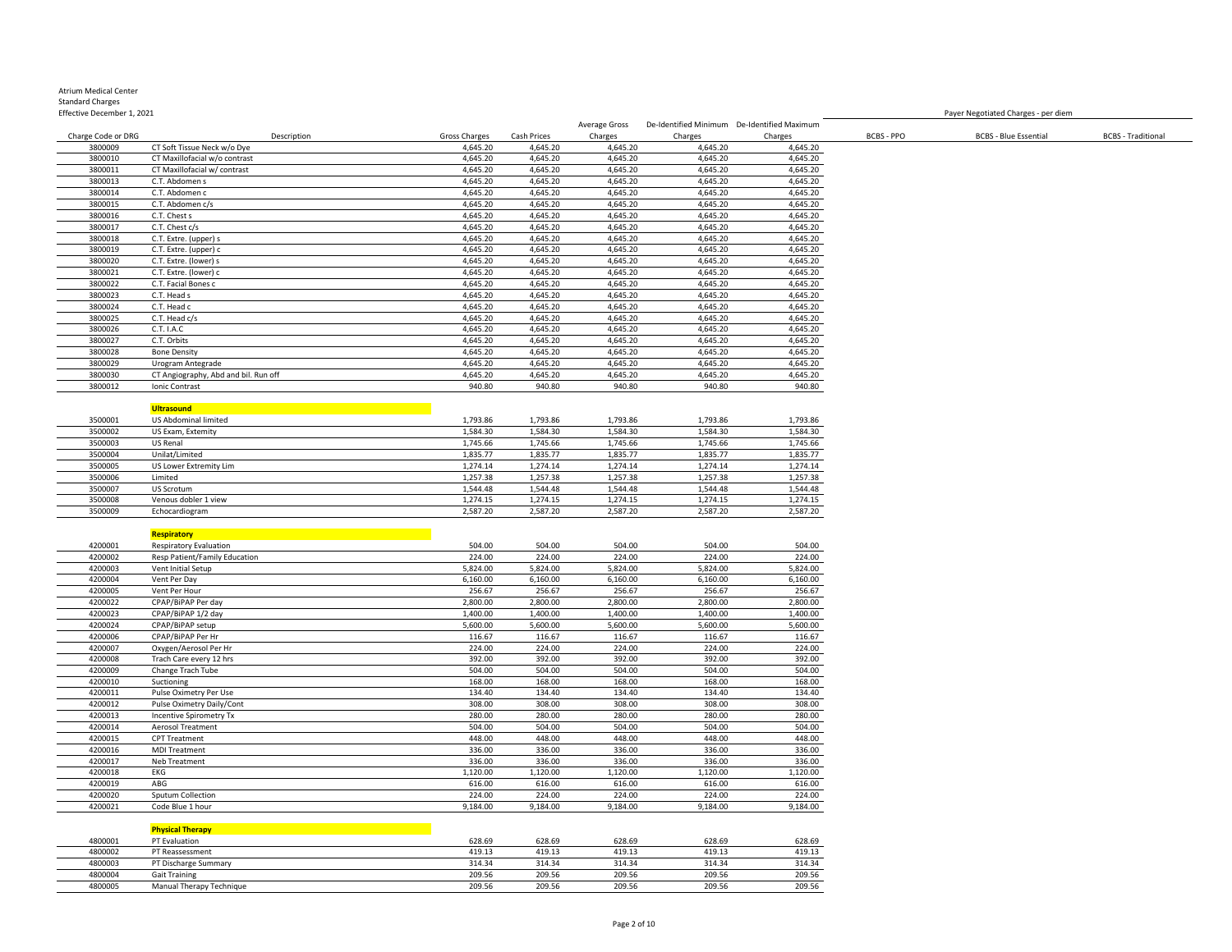|                    |                                      |               |             | Average Gross | De-Identified Minimum De-Identified Maximum |          |                   |                              |                           |
|--------------------|--------------------------------------|---------------|-------------|---------------|---------------------------------------------|----------|-------------------|------------------------------|---------------------------|
| Charge Code or DRG | Description                          | Gross Charges | Cash Prices | Charges       | Charges                                     | Charges  | <b>BCBS - PPO</b> | <b>BCBS - Blue Essential</b> | <b>BCBS</b> - Traditional |
| 3800009            | CT Soft Tissue Neck w/o Dye          | 4,645.20      | 4,645.20    | 4,645.20      | 4,645.20                                    | 4,645.20 |                   |                              |                           |
| 3800010            | CT Maxillofacial w/o contrast        | 4,645.20      | 4,645.20    | 4,645.20      | 4,645.20                                    | 4,645.20 |                   |                              |                           |
| 3800011            | CT Maxillofacial w/ contrast         | 4,645.20      | 4,645.20    | 4,645.20      | 4,645.20                                    | 4,645.20 |                   |                              |                           |
| 3800013            | C.T. Abdomen s                       | 4,645.20      | 4,645.20    | 4,645.20      | 4,645.20                                    | 4,645.20 |                   |                              |                           |
| 3800014            | C.T. Abdomen c                       | 4,645.20      | 4,645.20    | 4,645.20      | 4,645.20                                    | 4,645.20 |                   |                              |                           |
| 3800015            | C.T. Abdomen c/s                     | 4,645.20      | 4,645.20    | 4,645.20      | 4,645.20                                    | 4,645.20 |                   |                              |                           |
| 3800016            | C.T. Chest s                         | 4,645.20      | 4,645.20    | 4,645.20      | 4,645.20                                    | 4,645.20 |                   |                              |                           |
|                    |                                      |               |             |               |                                             |          |                   |                              |                           |
| 3800017            | C.T. Chest c/s                       | 4,645.20      | 4,645.20    | 4,645.20      | 4,645.20                                    | 4,645.20 |                   |                              |                           |
| 3800018            | C.T. Extre. (upper) s                | 4,645.20      | 4,645.20    | 4,645.20      | 4,645.20                                    | 4,645.20 |                   |                              |                           |
| 3800019            | C.T. Extre. (upper) c                | 4,645.20      | 4,645.20    | 4,645.20      | 4,645.20                                    | 4,645.20 |                   |                              |                           |
| 3800020            | C.T. Extre. (lower) s                | 4,645.20      | 4,645.20    | 4,645.20      | 4,645.20                                    | 4,645.20 |                   |                              |                           |
| 3800021            | C.T. Extre. (lower) c                | 4,645.20      | 4,645.20    | 4,645.20      | 4,645.20                                    | 4,645.20 |                   |                              |                           |
| 3800022            | C.T. Facial Bones c                  | 4,645.20      | 4,645.20    | 4,645.20      | 4,645.20                                    | 4,645.20 |                   |                              |                           |
| 3800023            | C.T. Head s                          | 4,645.20      | 4,645.20    | 4,645.20      | 4,645.20                                    | 4,645.20 |                   |                              |                           |
| 3800024            | C.T. Head c                          | 4,645.20      | 4,645.20    | 4,645.20      | 4,645.20                                    | 4,645.20 |                   |                              |                           |
| 3800025            | C.T. Head c/s                        | 4,645.20      | 4,645.20    | 4,645.20      | 4,645.20                                    | 4,645.20 |                   |                              |                           |
| 3800026            | C.T. I.A.C                           | 4,645.20      | 4,645.20    | 4,645.20      | 4,645.20                                    | 4,645.20 |                   |                              |                           |
| 3800027            | C.T. Orbits                          | 4,645.20      | 4,645.20    | 4,645.20      | 4,645.20                                    | 4,645.20 |                   |                              |                           |
| 3800028            | <b>Bone Density</b>                  | 4,645.20      | 4,645.20    | 4,645.20      | 4,645.20                                    | 4,645.20 |                   |                              |                           |
| 3800029            | Urogram Antegrade                    | 4,645.20      | 4,645.20    | 4,645.20      | 4,645.20                                    | 4,645.20 |                   |                              |                           |
| 3800030            | CT Angiography, Abd and bil. Run off | 4,645.20      | 4,645.20    | 4,645.20      | 4,645.20                                    | 4,645.20 |                   |                              |                           |
| 3800012            |                                      | 940.80        | 940.80      | 940.80        | 940.80                                      | 940.80   |                   |                              |                           |
|                    | Ionic Contrast                       |               |             |               |                                             |          |                   |                              |                           |
|                    |                                      |               |             |               |                                             |          |                   |                              |                           |
|                    | <b>Ultrasound</b>                    |               |             |               |                                             |          |                   |                              |                           |
| 3500001            | US Abdominal limited                 | 1,793.86      | 1,793.86    | 1,793.86      | 1,793.86                                    | 1,793.86 |                   |                              |                           |
| 3500002            | US Exam, Extemity                    | 1,584.30      | 1,584.30    | 1,584.30      | 1,584.30                                    | 1,584.30 |                   |                              |                           |
| 3500003            | US Renal                             | 1,745.66      | 1,745.66    | 1,745.66      | 1,745.66                                    | 1,745.66 |                   |                              |                           |
| 3500004            | Unilat/Limited                       | 1,835.77      | 1,835.77    | 1,835.77      | 1,835.77                                    | 1,835.77 |                   |                              |                           |
| 3500005            | US Lower Extremity Lim               | 1,274.14      | 1,274.14    | 1,274.14      | 1,274.14                                    | 1,274.14 |                   |                              |                           |
| 3500006            | Limited                              | 1,257.38      | 1,257.38    | 1,257.38      | 1,257.38                                    | 1,257.38 |                   |                              |                           |
| 3500007            | US Scrotum                           | 1,544.48      | 1,544.48    | 1,544.48      | 1,544.48                                    | 1,544.48 |                   |                              |                           |
| 3500008            | Venous dobler 1 view                 | 1,274.15      | 1,274.15    | 1,274.15      | 1,274.15                                    | 1,274.15 |                   |                              |                           |
| 3500009            | Echocardiogram                       | 2,587.20      | 2,587.20    | 2,587.20      | 2,587.20                                    | 2,587.20 |                   |                              |                           |
|                    |                                      |               |             |               |                                             |          |                   |                              |                           |
|                    | <b>Respiratory</b>                   |               |             |               |                                             |          |                   |                              |                           |
|                    |                                      | 504.00        | 504.00      | 504.00        |                                             |          |                   |                              |                           |
| 4200001            | <b>Respiratory Evaluation</b>        |               |             |               | 504.00                                      | 504.00   |                   |                              |                           |
| 4200002            | Resp Patient/Family Education        | 224.00        | 224.00      | 224.00        | 224.00                                      | 224.00   |                   |                              |                           |
| 4200003            | Vent Initial Setup                   | 5,824.00      | 5,824.00    | 5,824.00      | 5,824.00                                    | 5,824.00 |                   |                              |                           |
| 4200004            | Vent Per Day                         | 6,160.00      | 6,160.00    | 6,160.00      | 6,160.00                                    | 6,160.00 |                   |                              |                           |
| 4200005            | Vent Per Hour                        | 256.67        | 256.67      | 256.67        | 256.67                                      | 256.67   |                   |                              |                           |
| 4200022            | CPAP/BiPAP Per day                   | 2,800.00      | 2,800.00    | 2,800.00      | 2,800.00                                    | 2,800.00 |                   |                              |                           |
| 4200023            | CPAP/BiPAP 1/2 day                   | 1,400.00      | 1,400.00    | 1,400.00      | 1,400.00                                    | 1,400.00 |                   |                              |                           |
| 4200024            | CPAP/BiPAP setup                     | 5,600.00      | 5,600.00    | 5,600.00      | 5,600.00                                    | 5,600.00 |                   |                              |                           |
| 4200006            | CPAP/BiPAP Per Hr                    | 116.67        | 116.67      | 116.67        | 116.67                                      | 116.67   |                   |                              |                           |
| 4200007            | Oxygen/Aerosol Per Hr                | 224.00        | 224.00      | 224.00        | 224.00                                      | 224.00   |                   |                              |                           |
| 4200008            | Trach Care every 12 hrs              | 392.00        | 392.00      | 392.00        | 392.00                                      | 392.00   |                   |                              |                           |
| 4200009            | Change Trach Tube                    | 504.00        | 504.00      | 504.00        | 504.00                                      | 504.00   |                   |                              |                           |
| 4200010            | Suctioning                           | 168.00        | 168.00      | 168.00        | 168.00                                      | 168.00   |                   |                              |                           |
| 4200011            | Pulse Oximetry Per Use               | 134.40        | 134.40      | 134.40        | 134.40                                      | 134.40   |                   |                              |                           |
| 4200012            |                                      | 308.00        | 308.00      | 308.00        | 308.00                                      | 308.00   |                   |                              |                           |
|                    | Pulse Oximetry Daily/Cont            |               |             |               |                                             |          |                   |                              |                           |
| 4200013            | Incentive Spirometry Tx              | 280.00        | 280.00      | 280.00        | 280.00                                      | 280.00   |                   |                              |                           |
| 4200014            | <b>Aerosol Treatment</b>             | 504.00        | 504.00      | 504.00        | 504.00                                      | 504.00   |                   |                              |                           |
| 4200015            | <b>CPT Treatment</b>                 | 448.00        | 448.00      | 448.00        | 448.00                                      | 448.00   |                   |                              |                           |
| 4200016            | <b>MDI Treatment</b>                 | 336.00        | 336.00      | 336.00        | 336.00                                      | 336.00   |                   |                              |                           |
| 4200017            | Neb Treatment                        | 336.00        | 336.00      | 336.00        | 336.00                                      | 336.00   |                   |                              |                           |
| 4200018            | EKG                                  | 1,120.00      | 1,120.00    | 1,120.00      | 1,120.00                                    | 1,120.00 |                   |                              |                           |
| 4200019            | ABG                                  | 616.00        | 616.00      | 616.00        | 616.00                                      | 616.00   |                   |                              |                           |
| 4200020            | Sputum Collection                    | 224.00        | 224.00      | 224.00        | 224.00                                      | 224.00   |                   |                              |                           |
| 4200021            | Code Blue 1 hour                     | 9,184.00      | 9,184.00    | 9,184.00      | 9,184.00                                    | 9,184.00 |                   |                              |                           |
|                    |                                      |               |             |               |                                             |          |                   |                              |                           |
|                    | <b>Physical Therapy</b>              |               |             |               |                                             |          |                   |                              |                           |
| 4800001            | PT Evaluation                        | 628.69        | 628.69      | 628.69        | 628.69                                      | 628.69   |                   |                              |                           |
| 4800002            |                                      | 419.13        | 419.13      | 419.13        | 419.13                                      | 419.13   |                   |                              |                           |
|                    | PT Reassessment                      |               |             |               |                                             |          |                   |                              |                           |
| 4800003            | PT Discharge Summary                 | 314.34        | 314.34      | 314.34        | 314.34                                      | 314.34   |                   |                              |                           |
| 4800004            | <b>Gait Training</b>                 | 209.56        | 209.56      | 209.56        | 209.56                                      | 209.56   |                   |                              |                           |
| 4800005            | Manual Therapy Technique             | 209.56        | 209.56      | 209.56        | 209.56                                      | 209.56   |                   |                              |                           |

Payer Negotiated Charges - per diem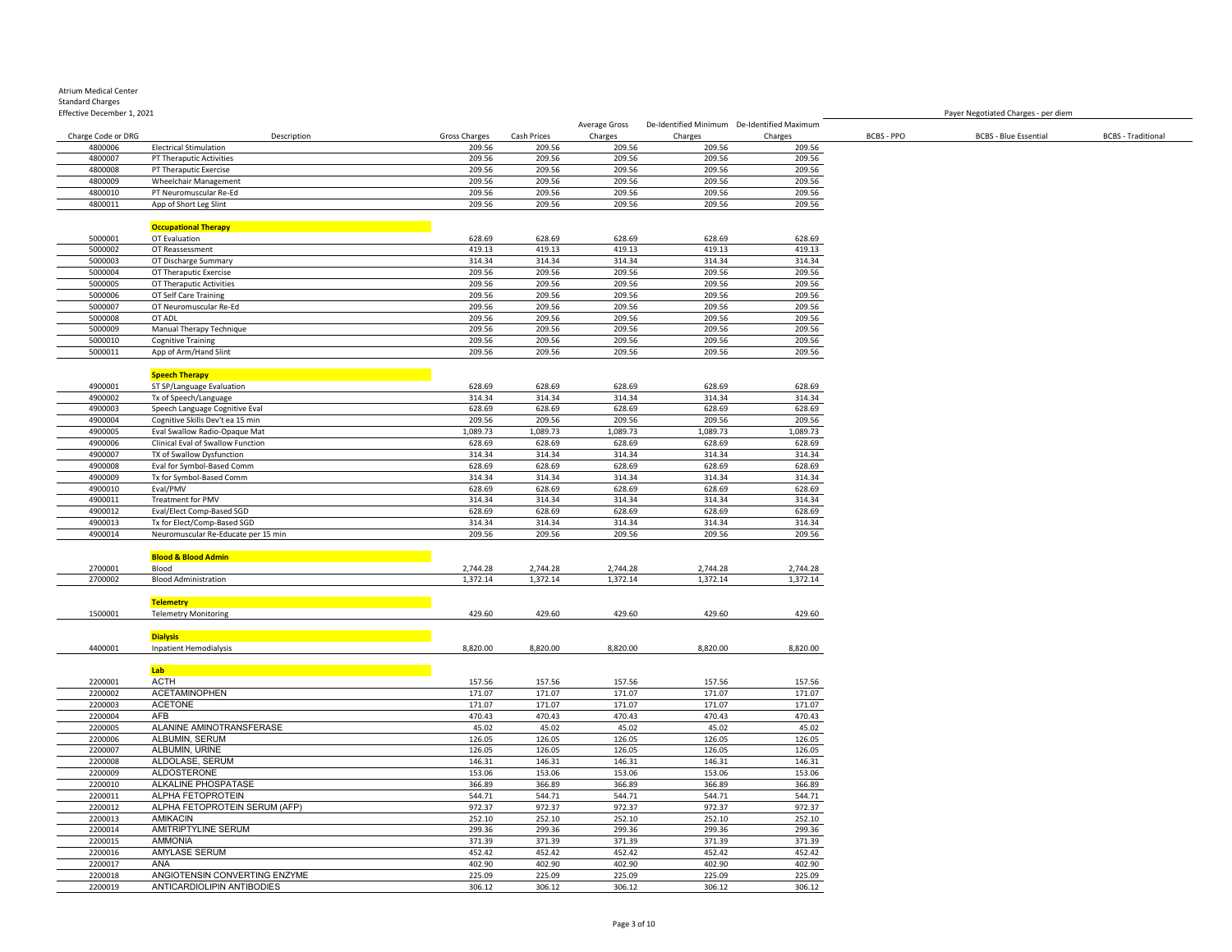| <b>Atrium Medical Center</b> |
|------------------------------|
| <b>Standard Charges</b>      |
| Effective December 1, 2021   |

|                    |                                     |               |             | Average Gross |          | De-Identified Minimum De-Identified Maximum |            |                              |                           |
|--------------------|-------------------------------------|---------------|-------------|---------------|----------|---------------------------------------------|------------|------------------------------|---------------------------|
| Charge Code or DRG | Description                         | Gross Charges | Cash Prices | Charges       | Charges  | Charges                                     | BCBS - PPO | <b>BCBS - Blue Essential</b> | <b>BCBS</b> - Traditional |
| 4800006            | <b>Electrical Stimulation</b>       | 209.56        | 209.56      | 209.56        | 209.56   | 209.56                                      |            |                              |                           |
| 4800007            | PT Theraputic Activities            | 209.56        | 209.56      | 209.56        | 209.56   | 209.56                                      |            |                              |                           |
| 4800008            |                                     | 209.56        | 209.56      | 209.56        | 209.56   | 209.56                                      |            |                              |                           |
|                    | PT Theraputic Exercise              |               |             |               |          |                                             |            |                              |                           |
| 4800009            | Wheelchair Management               | 209.56        | 209.56      | 209.56        | 209.56   | 209.56                                      |            |                              |                           |
| 4800010            | PT Neuromuscular Re-Ed              | 209.56        | 209.56      | 209.56        | 209.56   | 209.56                                      |            |                              |                           |
| 4800011            | App of Short Leg Slint              | 209.56        | 209.56      | 209.56        | 209.56   | 209.56                                      |            |                              |                           |
|                    |                                     |               |             |               |          |                                             |            |                              |                           |
|                    | <b>Occupational Therapy</b>         |               |             |               |          |                                             |            |                              |                           |
| 5000001            | OT Evaluation                       | 628.69        | 628.69      | 628.69        | 628.69   | 628.69                                      |            |                              |                           |
| 5000002            |                                     |               | 419.13      |               | 419.13   | 419.13                                      |            |                              |                           |
|                    | OT Reassessment                     | 419.13        |             | 419.13        |          |                                             |            |                              |                           |
| 5000003            | OT Discharge Summary                | 314.34        | 314.34      | 314.34        | 314.34   | 314.34                                      |            |                              |                           |
| 5000004            | OT Theraputic Exercise              | 209.56        | 209.56      | 209.56        | 209.56   | 209.56                                      |            |                              |                           |
| 5000005            | OT Theraputic Activities            | 209.56        | 209.56      | 209.56        | 209.56   | 209.56                                      |            |                              |                           |
| 5000006            | OT Self Care Training               | 209.56        | 209.56      | 209.56        | 209.56   | 209.56                                      |            |                              |                           |
| 5000007            | OT Neuromuscular Re-Ed              | 209.56        | 209.56      | 209.56        | 209.56   | 209.56                                      |            |                              |                           |
| 5000008            | OT ADL                              | 209.56        | 209.56      | 209.56        | 209.56   |                                             |            |                              |                           |
|                    |                                     |               |             |               |          | 209.56                                      |            |                              |                           |
| 5000009            | Manual Therapy Technique            | 209.56        | 209.56      | 209.56        | 209.56   | 209.56                                      |            |                              |                           |
| 5000010            | <b>Cognitive Training</b>           | 209.56        | 209.56      | 209.56        | 209.56   | 209.56                                      |            |                              |                           |
| 5000011            | App of Arm/Hand Slint               | 209.56        | 209.56      | 209.56        | 209.56   | 209.56                                      |            |                              |                           |
|                    |                                     |               |             |               |          |                                             |            |                              |                           |
|                    | <b>Speech Therapy</b>               |               |             |               |          |                                             |            |                              |                           |
| 4900001            | ST SP/Language Evaluation           | 628.69        | 628.69      | 628.69        | 628.69   | 628.69                                      |            |                              |                           |
|                    |                                     |               |             |               |          |                                             |            |                              |                           |
| 4900002            | Tx of Speech/Language               | 314.34        | 314.34      | 314.34        | 314.34   | 314.34                                      |            |                              |                           |
| 4900003            | Speech Language Cognitive Eval      | 628.69        | 628.69      | 628.69        | 628.69   | 628.69                                      |            |                              |                           |
| 4900004            | Cognitive Skills Dev't ea 15 min    | 209.56        | 209.56      | 209.56        | 209.56   | 209.56                                      |            |                              |                           |
| 4900005            | Eval Swallow Radio-Opaque Mat       | 1,089.73      | 1,089.73    | 1,089.73      | 1,089.73 | 1,089.73                                    |            |                              |                           |
| 4900006            | Clinical Eval of Swallow Function   | 628.69        | 628.69      | 628.69        | 628.69   | 628.69                                      |            |                              |                           |
| 4900007            | TX of Swallow Dysfunction           | 314.34        | 314.34      | 314.34        | 314.34   | 314.34                                      |            |                              |                           |
|                    |                                     |               |             |               |          |                                             |            |                              |                           |
| 4900008            | Eval for Symbol-Based Comm          | 628.69        | 628.69      | 628.69        | 628.69   | 628.69                                      |            |                              |                           |
| 4900009            | Tx for Symbol-Based Comm            | 314.34        | 314.34      | 314.34        | 314.34   | 314.34                                      |            |                              |                           |
| 4900010            | Eval/PMV                            | 628.69        | 628.69      | 628.69        | 628.69   | 628.69                                      |            |                              |                           |
| 4900011            | <b>Treatment for PMV</b>            | 314.34        | 314.34      | 314.34        | 314.34   | 314.34                                      |            |                              |                           |
| 4900012            | Eval/Elect Comp-Based SGD           | 628.69        | 628.69      | 628.69        | 628.69   | 628.69                                      |            |                              |                           |
| 4900013            | Tx for Elect/Comp-Based SGD         | 314.34        | 314.34      | 314.34        | 314.34   | 314.34                                      |            |                              |                           |
| 4900014            | Neuromuscular Re-Educate per 15 min | 209.56        | 209.56      | 209.56        | 209.56   | 209.56                                      |            |                              |                           |
|                    |                                     |               |             |               |          |                                             |            |                              |                           |
|                    |                                     |               |             |               |          |                                             |            |                              |                           |
|                    | <b>Blood &amp; Blood Admin</b>      |               |             |               |          |                                             |            |                              |                           |
| 2700001            | Blood                               | 2,744.28      | 2,744.28    | 2,744.28      | 2,744.28 | 2,744.28                                    |            |                              |                           |
| 2700002            | <b>Blood Administration</b>         | 1,372.14      | 1,372.14    | 1,372.14      | 1,372.14 | 1,372.14                                    |            |                              |                           |
|                    |                                     |               |             |               |          |                                             |            |                              |                           |
|                    | <b>Telemetry</b>                    |               |             |               |          |                                             |            |                              |                           |
|                    |                                     |               |             |               |          |                                             |            |                              |                           |
| 1500001            | <b>Telemetry Monitoring</b>         | 429.60        | 429.60      | 429.60        | 429.60   | 429.60                                      |            |                              |                           |
|                    |                                     |               |             |               |          |                                             |            |                              |                           |
|                    | <b>Dialysis</b>                     |               |             |               |          |                                             |            |                              |                           |
| 4400001            | <b>Inpatient Hemodialysis</b>       | 8,820.00      | 8,820.00    | 8,820.00      | 8,820.00 | 8,820.00                                    |            |                              |                           |
|                    |                                     |               |             |               |          |                                             |            |                              |                           |
|                    | Lab                                 |               |             |               |          |                                             |            |                              |                           |
|                    | <b>ACTH</b>                         |               |             |               |          |                                             |            |                              |                           |
| 2200001            |                                     | 157.56        | 157.56      | 157.56        | 157.56   | 157.56                                      |            |                              |                           |
| 2200002            | ACETAMINOPHEN                       | 171.07        | 171.07      | 171.07        | 171.07   | 171.07                                      |            |                              |                           |
| 2200003            | <b>ACETONE</b>                      | 171.07        | 171.07      | 171.07        | 171.07   | 171.07                                      |            |                              |                           |
| 2200004            | AFB                                 | 470.43        | 470.43      | 470.43        | 470.43   | 470.43                                      |            |                              |                           |
| 2200005            | ALANINE AMINOTRANSFERASE            | 45.02         | 45.02       | 45.02         | 45.02    | 45.02                                       |            |                              |                           |
| 2200006            | ALBUMIN, SERUM                      | 126.05        | 126.05      | 126.05        | 126.05   | 126.05                                      |            |                              |                           |
| 2200007            | ALBUMIN, URINE                      | 126.05        | 126.05      | 126.05        | 126.05   | 126.05                                      |            |                              |                           |
|                    |                                     |               |             |               |          |                                             |            |                              |                           |
| 2200008            | ALDOLASE, SERUM                     | 146.31        | 146.31      | 146.31        | 146.31   | 146.31                                      |            |                              |                           |
| 2200009            | ALDOSTERONE                         | 153.06        | 153.06      | 153.06        | 153.06   | 153.06                                      |            |                              |                           |
| 2200010            | ALKALINE PHOSPATASE                 | 366.89        | 366.89      | 366.89        | 366.89   | 366.89                                      |            |                              |                           |
| 2200011            | ALPHA FETOPROTEIN                   | 544.71        | 544.71      | 544.71        | 544.71   | 544.71                                      |            |                              |                           |
| 2200012            | ALPHA FETOPROTEIN SERUM (AFP)       | 972.37        | 972.37      | 972.37        | 972.37   | 972.37                                      |            |                              |                           |
| 2200013            | <b>AMIKACIN</b>                     | 252.10        | 252.10      | 252.10        | 252.10   | 252.10                                      |            |                              |                           |
|                    |                                     |               |             |               |          |                                             |            |                              |                           |
| 2200014            | AMITRIPTYLINE SERUM                 | 299.36        | 299.36      | 299.36        | 299.36   | 299.36                                      |            |                              |                           |
| 2200015            | <b>AMMONIA</b>                      | 371.39        | 371.39      | 371.39        | 371.39   | 371.39                                      |            |                              |                           |
| 2200016            | AMYLASE SERUM                       | 452.42        | 452.42      | 452.42        | 452.42   | 452.42                                      |            |                              |                           |
| 2200017            | ANA                                 | 402.90        | 402.90      | 402.90        | 402.90   | 402.90                                      |            |                              |                           |
| 2200018            | ANGIOTENSIN CONVERTING ENZYME       | 225.09        | 225.09      | 225.09        | 225.09   | 225.09                                      |            |                              |                           |
| 2200019            | ANTICARDIOLIPIN ANTIBODIES          | 306.12        | 306.12      | 306.12        | 306.12   | 306.12                                      |            |                              |                           |
|                    |                                     |               |             |               |          |                                             |            |                              |                           |

Payer Negotiated Charges - per diem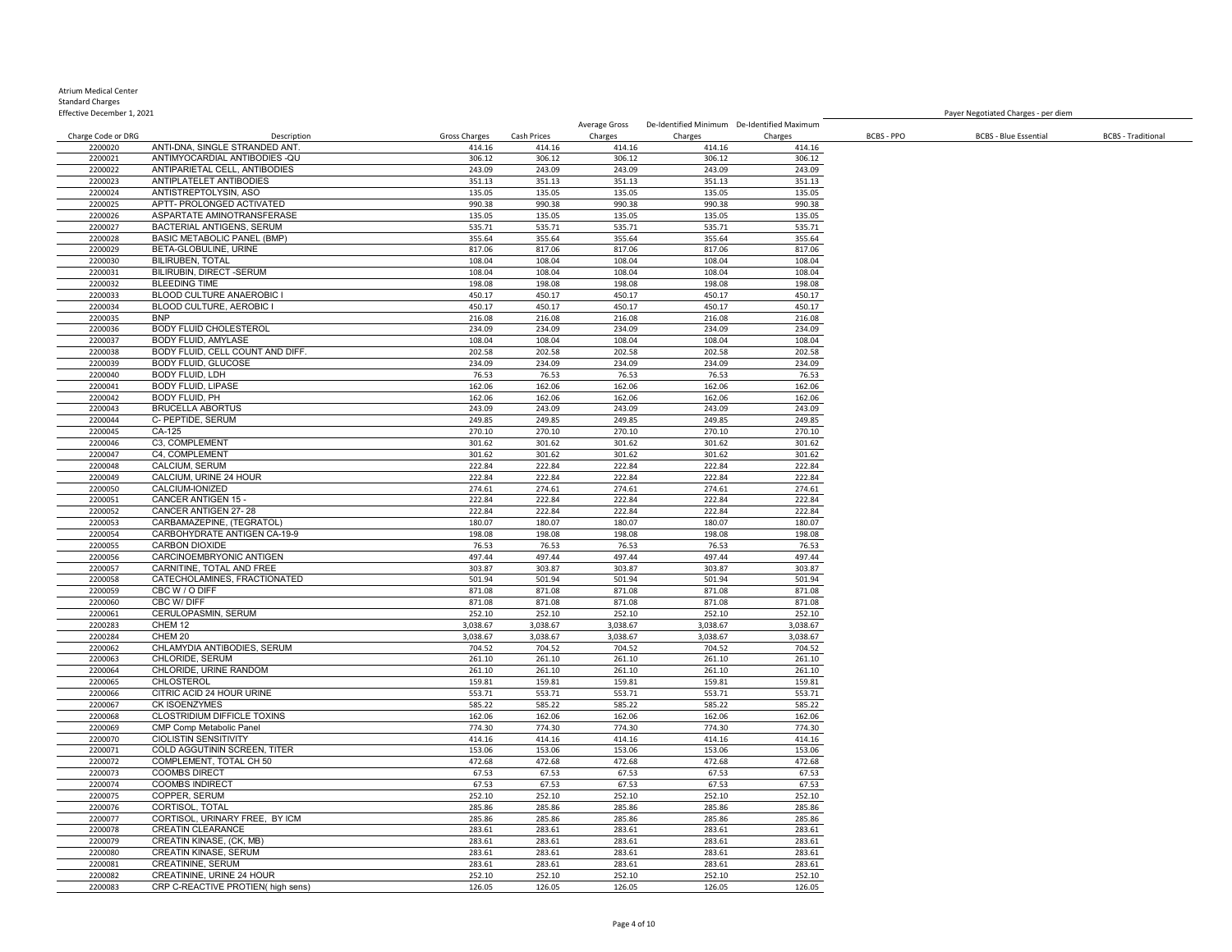| Effective December 1, 2021 |                                                                 |                  |                  |                  |                                             |                  |            | Payer Negotiated Charges - per diem |                           |
|----------------------------|-----------------------------------------------------------------|------------------|------------------|------------------|---------------------------------------------|------------------|------------|-------------------------------------|---------------------------|
|                            |                                                                 |                  |                  | Average Gross    | De-Identified Minimum De-Identified Maximum |                  |            |                                     |                           |
| Charge Code or DRG         | Description                                                     | Gross Charges    | Cash Prices      | Charges          | Charges                                     | Charges          | BCBS - PPO | <b>BCBS - Blue Essential</b>        | <b>BCBS</b> - Traditional |
| 2200020<br>2200021         | ANTI-DNA, SINGLE STRANDED ANT<br>ANTIMYOCARDIAL ANTIBODIES - QU | 414.16<br>306.12 | 414.16<br>306.12 | 414.16<br>306.12 | 414.16<br>306.12                            | 414.16<br>306.12 |            |                                     |                           |
| 2200022                    | ANTIPARIETAL CELL, ANTIBODIES                                   | 243.09           | 243.09           | 243.09           | 243.09                                      | 243.09           |            |                                     |                           |
| 2200023                    | ANTIPLATELET ANTIBODIES                                         | 351.13           | 351.13           | 351.13           | 351.13                                      | 351.13           |            |                                     |                           |
| 2200024                    | ANTISTREPTOLYSIN, ASO                                           | 135.05           | 135.05           | 135.05           | 135.05                                      | 135.05           |            |                                     |                           |
| 2200025                    | APTT- PROLONGED ACTIVATED                                       | 990.38           | 990.38           | 990.38           | 990.38                                      | 990.38           |            |                                     |                           |
| 2200026                    | ASPARTATE AMINOTRANSFERASE                                      | 135.05           | 135.05           | 135.05           | 135.05                                      | 135.05           |            |                                     |                           |
| 2200027                    | BACTERIAL ANTIGENS, SERUM                                       | 535.71           | 535.71           | 535.71           | 535.71                                      | 535.71           |            |                                     |                           |
| 2200028                    | <b>BASIC METABOLIC PANEL (BMP)</b>                              | 355.64           | 355.64           | 355.64           | 355.64                                      | 355.64           |            |                                     |                           |
| 2200029                    | BETA-GLOBULINE, URINE                                           | 817.06           | 817.06           | 817.06           | 817.06                                      | 817.06           |            |                                     |                           |
| 2200030                    | <b>BILIRUBEN, TOTAL</b>                                         | 108.04           | 108.04           | 108.04           | 108.04                                      | 108.04           |            |                                     |                           |
| 2200031                    | BILIRUBIN, DIRECT -SERUM                                        | 108.04           | 108.04           | 108.04           | 108.04                                      | 108.04           |            |                                     |                           |
| 2200032                    | <b>BLEEDING TIME</b>                                            | 198.08           | 198.08           | 198.08           | 198.08                                      | 198.08           |            |                                     |                           |
| 2200033                    | BLOOD CULTURE ANAEROBIC I                                       | 450.17           | 450.17           | 450.17           | 450.17                                      | 450.17           |            |                                     |                           |
| 2200034                    | BLOOD CULTURE, AEROBIC I<br><b>BNP</b>                          | 450.17           | 450.17           | 450.17           | 450.17                                      | 450.17           |            |                                     |                           |
| 2200035<br>2200036         | <b>BODY FLUID CHOLESTEROL</b>                                   | 216.08<br>234.09 | 216.08<br>234.09 | 216.08<br>234.09 | 216.08<br>234.09                            | 216.08<br>234.09 |            |                                     |                           |
| 2200037                    | BODY FLUID, AMYLASE                                             | 108.04           | 108.04           | 108.04           | 108.04                                      | 108.04           |            |                                     |                           |
| 2200038                    | BODY FLUID, CELL COUNT AND DIFF.                                | 202.58           | 202.58           | 202.58           | 202.58                                      | 202.58           |            |                                     |                           |
| 2200039                    | <b>BODY FLUID, GLUCOSE</b>                                      | 234.09           | 234.09           | 234.09           | 234.09                                      | 234.09           |            |                                     |                           |
| 2200040                    | BODY FLUID, LDH                                                 | 76.53            | 76.53            | 76.53            | 76.53                                       | 76.53            |            |                                     |                           |
| 2200041                    | <b>BODY FLUID, LIPASE</b>                                       | 162.06           | 162.06           | 162.06           | 162.06                                      | 162.06           |            |                                     |                           |
| 2200042                    | BODY FLUID, PH                                                  | 162.06           | 162.06           | 162.06           | 162.06                                      | 162.06           |            |                                     |                           |
| 2200043                    | <b>BRUCELLA ABORTUS</b>                                         | 243.09           | 243.09           | 243.09           | 243.09                                      | 243.09           |            |                                     |                           |
| 2200044                    | C- PEPTIDE, SERUM                                               | 249.85           | 249.85           | 249.85           | 249.85                                      | 249.85           |            |                                     |                           |
| 2200045                    | CA-125                                                          | 270.10           | 270.10           | 270.10           | 270.10                                      | 270.10           |            |                                     |                           |
| 2200046                    | C3, COMPLEMENT                                                  | 301.62           | 301.62           | 301.62           | 301.62                                      | 301.62           |            |                                     |                           |
| 2200047                    | C4. COMPLEMENT                                                  | 301.62           | 301.62           | 301.62           | 301.62                                      | 301.62           |            |                                     |                           |
| 2200048                    | CALCIUM, SERUM                                                  | 222.84           | 222.84           | 222.84           | 222.84                                      | 222.84           |            |                                     |                           |
| 2200049                    | CALCIUM, URINE 24 HOUR                                          | 222.84           | 222.84           | 222.84           | 222.84                                      | 222.84           |            |                                     |                           |
| 2200050                    | CALCIUM-IONIZED                                                 | 274.61           | 274.61           | 274.61           | 274.61                                      | 274.61           |            |                                     |                           |
| 2200051<br>2200052         | CANCER ANTIGEN 15 -<br>CANCER ANTIGEN 27-28                     | 222.84<br>222.84 | 222.84<br>222.84 | 222.84<br>222.84 | 222.84<br>222.84                            | 222.84<br>222.84 |            |                                     |                           |
| 2200053                    | CARBAMAZEPINE, (TEGRATOL)                                       | 180.07           | 180.07           | 180.07           | 180.07                                      | 180.07           |            |                                     |                           |
| 2200054                    | CARBOHYDRATE ANTIGEN CA-19-9                                    | 198.08           | 198.08           | 198.08           | 198.08                                      | 198.08           |            |                                     |                           |
| 2200055                    | <b>CARBON DIOXIDE</b>                                           | 76.53            | 76.53            | 76.53            | 76.53                                       | 76.53            |            |                                     |                           |
| 2200056                    | CARCINOEMBRYONIC ANTIGEN                                        | 497.44           | 497.44           | 497.44           | 497.44                                      | 497.44           |            |                                     |                           |
| 2200057                    | CARNITINE, TOTAL AND FREE                                       | 303.87           | 303.87           | 303.87           | 303.87                                      | 303.87           |            |                                     |                           |
| 2200058                    | CATECHOLAMINES, FRACTIONATED                                    | 501.94           | 501.94           | 501.94           | 501.94                                      | 501.94           |            |                                     |                           |
| 2200059                    | CBC W / O DIFF                                                  | 871.08           | 871.08           | 871.08           | 871.08                                      | 871.08           |            |                                     |                           |
| 2200060                    | CBC W/DIFF                                                      | 871.08           | 871.08           | 871.08           | 871.08                                      | 871.08           |            |                                     |                           |
| 2200061                    | CERULOPASMIN, SERUM                                             | 252.10           | 252.10           | 252.10           | 252.10                                      | 252.10           |            |                                     |                           |
| 2200283                    | CHEM <sub>12</sub>                                              | 3,038.67         | 3,038.67         | 3,038.67         | 3,038.67                                    | 3,038.67         |            |                                     |                           |
| 2200284                    | CHEM 20                                                         | 3,038.67         | 3,038.67         | 3,038.67         | 3,038.67                                    | 3,038.67         |            |                                     |                           |
| 2200062<br>2200063         | CHLAMYDIA ANTIBODIES, SERUM<br>CHLORIDE, SERUM                  | 704.52           | 704.52           | 704.52<br>261.10 | 704.52<br>261.10                            | 704.52<br>261.10 |            |                                     |                           |
| 2200064                    | CHLORIDE, URINE RANDOM                                          | 261.10<br>261.10 | 261.10<br>261.10 | 261.10           | 261.10                                      | 261.10           |            |                                     |                           |
| 2200065                    | CHLOSTEROL                                                      | 159.81           | 159.81           | 159.81           | 159.81                                      | 159.81           |            |                                     |                           |
| 2200066                    | CITRIC ACID 24 HOUR URINE                                       | 553.71           | 553.71           | 553.71           | 553.71                                      | 553.71           |            |                                     |                           |
| 2200067                    | CK ISOENZYMES                                                   | 585.22           | 585.22           | 585.22           | 585.22                                      | 585.22           |            |                                     |                           |
| 2200068                    | CLOSTRIDIUM DIFFICLE TOXINS                                     | 162.06           | 162.06           | 162.06           | 162.06                                      | 162.06           |            |                                     |                           |
| 2200069                    | <b>CMP Comp Metabolic Panel</b>                                 | 774.30           | 774.30           | 774.30           | 774.30                                      | 774.30           |            |                                     |                           |
| 2200070                    | <b>CIOLISTIN SENSITIVITY</b>                                    | 414.16           | 414.16           | 414.16           | 414.16                                      | 414.16           |            |                                     |                           |
| 2200071                    | COLD AGGUTININ SCREEN, TITER                                    | 153.06           | 153.06           | 153.06           | 153.06                                      | 153.06           |            |                                     |                           |
| 2200072                    | COMPLEMENT, TOTAL CH 50                                         | 472.68           | 472.68           | 472.68           | 472.68                                      | 472.68           |            |                                     |                           |
| 2200073                    | <b>COOMBS DIRECT</b>                                            | 67.53            | 67.53            | 67.53            | 67.53                                       | 67.53            |            |                                     |                           |
| 2200074                    | <b>COOMBS INDIRECT</b>                                          | 67.53            | 67.53            | 67.53            | 67.53                                       | 67.53            |            |                                     |                           |
| 2200075                    | COPPER, SERUM                                                   | 252.10           | 252.10           | 252.10           | 252.10                                      | 252.10           |            |                                     |                           |
| 2200076                    | CORTISOL, TOTAL                                                 | 285.86           | 285.86           | 285.86           | 285.86                                      | 285.86           |            |                                     |                           |
| 2200077                    | CORTISOL, URINARY FREE, BY ICM                                  | 285.86           | 285.86           | 285.86           | 285.86                                      | 285.86           |            |                                     |                           |
| 2200078<br>2200079         | <b>CREATIN CLEARANCE</b><br>CREATIN KINASE, (CK, MB)            | 283.61<br>283.61 | 283.61<br>283.61 | 283.61<br>283.61 | 283.61<br>283.61                            | 283.61<br>283.61 |            |                                     |                           |
| 2200080                    | CREATIN KINASE, SERUM                                           | 283.61           | 283.61           | 283.61           | 283.61                                      | 283.61           |            |                                     |                           |
| 2200081                    | CREATININE, SERUM                                               | 283.61           | 283.61           | 283.61           | 283.61                                      | 283.61           |            |                                     |                           |
|                            |                                                                 |                  |                  |                  |                                             |                  |            |                                     |                           |

2200081 CREATININE, SERUM 283.61 283.61 283.61 283.61 283.61 283.61 283.61 283.61 2200082 CREATININE, URINE 24<br>2200082 CREATININE, URINE 24 HOUR 252.10 252.10 252.10 252.10 252.10 252.10 252.10 252.10 252.10 252.10 252.10 2200082 CREATININE, URINE 24 HOUR 252.10 252.10 252.10 252.10 252.10 CRP C-REACTIVE PROTIEN( high sens) 126.05 126.05 126.05 126.05 126.05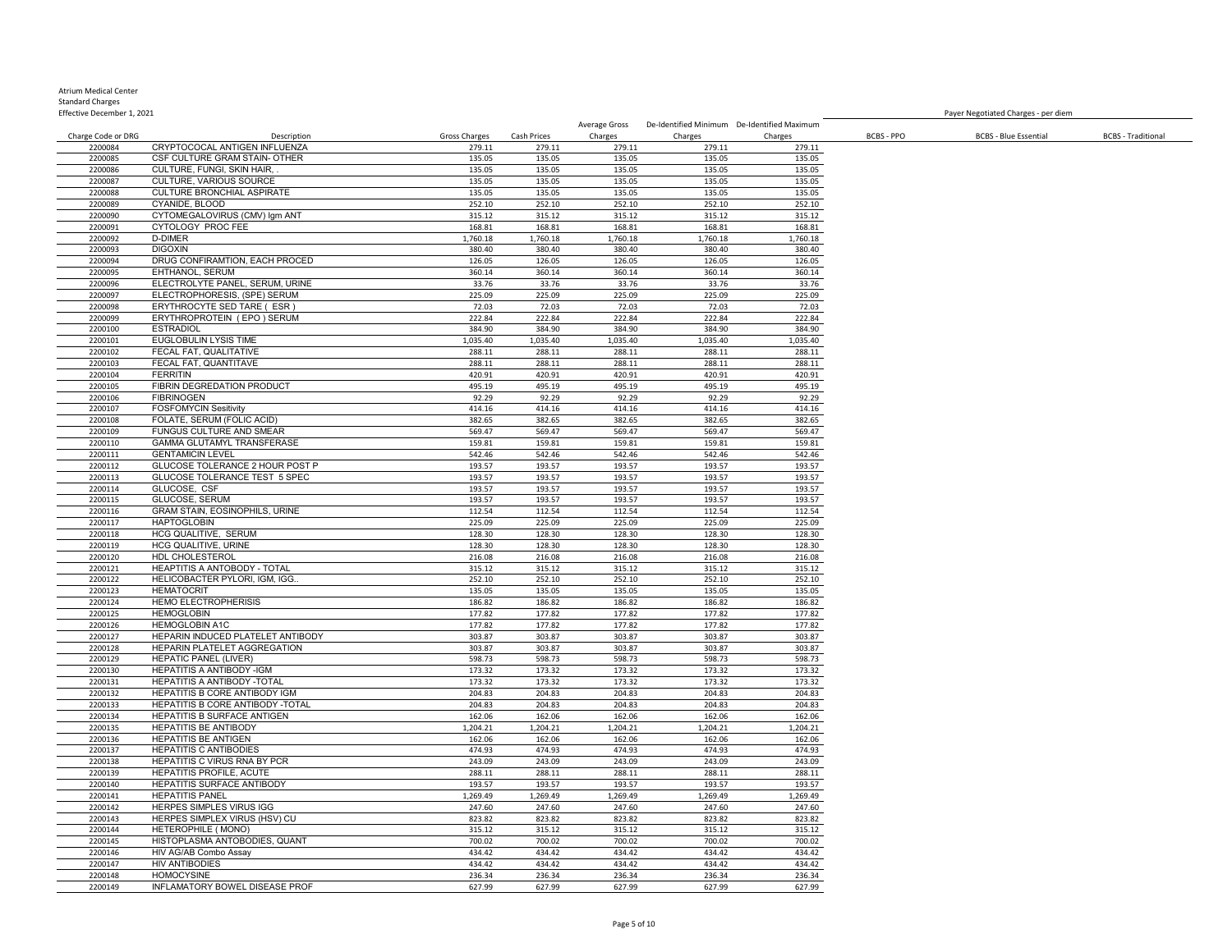### Atrium Medical Center Standard Charges

| Standard Charges           |                                   |               |             |               |                                             |          |                                     |                              |                           |
|----------------------------|-----------------------------------|---------------|-------------|---------------|---------------------------------------------|----------|-------------------------------------|------------------------------|---------------------------|
| Effective December 1, 2021 |                                   |               |             |               |                                             |          | Paver Negotiated Charges - per diem |                              |                           |
|                            |                                   |               |             | Average Gross | De-Identified Minimum De-Identified Maximum |          |                                     |                              |                           |
| Charge Code or DRG         | Description                       | Gross Charges | Cash Prices | Charges       | Charges                                     | Charges  | BCBS - PPO                          | <b>BCBS - Blue Essential</b> | <b>BCBS</b> - Traditional |
| 2200084                    | CRYPTOCOCAL ANTIGEN INFLUENZA     | 279.11        | 279.11      | 279.11        | 279.11                                      | 279.11   |                                     |                              |                           |
| 2200085                    | CSF CULTURE GRAM STAIN- OTHER     | 135.05        | 135.05      | 135.05        | 135.05                                      | 135.05   |                                     |                              |                           |
| 2200086                    | CULTURE, FUNGI, SKIN HAIR.,       | 135.05        | 135.05      | 135.05        | 135.05                                      | 135.05   |                                     |                              |                           |
| 2200087                    | <b>CULTURE, VARIOUS SOURCE</b>    | 135.05        | 135.05      | 135.05        | 135.05                                      | 135.05   |                                     |                              |                           |
| 2200088                    | <b>CULTURE BRONCHIAL ASPIRATE</b> | 135.05        | 135.05      | 135.05        | 135.05                                      | 135.05   |                                     |                              |                           |
| 2200089                    | CYANIDE, BLOOD                    | 252.10        | 252.10      | 252.10        | 252.10                                      | 252.10   |                                     |                              |                           |
| 2200090                    | CYTOMEGALOVIRUS (CMV) Igm ANT     | 315.12        | 315.12      | 315.12        | 315.12                                      | 315.12   |                                     |                              |                           |
| 2200091                    | CYTOLOGY PROC FEE                 | 168.81        | 168.81      | 168.81        | 168.81                                      | 168.81   |                                     |                              |                           |
| 2200092                    | <b>D-DIMER</b>                    | 1,760.18      | 1,760.18    | 1,760.18      | 1,760.18                                    | 1,760.18 |                                     |                              |                           |
| 2200093                    | <b>DIGOXIN</b>                    | 380.40        | 380.40      | 380.40        | 380.40                                      | 380.40   |                                     |                              |                           |
| 2200094                    | DRUG CONFIRAMTION. EACH PROCED    | 126.05        | 126.05      | 126.05        | 126.05                                      | 126.05   |                                     |                              |                           |
| 2200095                    | EHTHANOL, SERUM                   | 360.14        | 360.14      | 360.14        | 360.14                                      | 360.14   |                                     |                              |                           |
| 2200096                    | ELECTROLYTE PANEL, SERUM, URINE   | 33.76         | 33.76       | 33.76         | 33.76                                       | 33.76    |                                     |                              |                           |
| 2200097                    | ELECTROPHORESIS, (SPE) SERUM      | 225.09        | 225.09      | 225.09        | 225.09                                      | 225.09   |                                     |                              |                           |
| 2200098                    | ERYTHROCYTE SED TARE ( ESR )      | 72.03         | 72.03       | 72.03         | 72.03                                       | 72.03    |                                     |                              |                           |
| 2200099                    | ERYTHROPROTEIN (EPO) SERUM        | 222.84        | 222.84      | 222.84        | 222.84                                      | 222.84   |                                     |                              |                           |
| 2200100                    | <b>ESTRADIOL</b>                  | 384.90        | 384.90      | 384.90        | 384.90                                      | 384.90   |                                     |                              |                           |
| 2200101                    | EUGLOBULIN LYSIS TIME             | 1,035.40      | 1,035.40    | 1,035.40      | 1,035.40                                    | 1,035.40 |                                     |                              |                           |
| 2200102                    | FECAL FAT. QUALITATIVE            | 288.11        | 288.11      | 288.11        | 288.11                                      | 288.11   |                                     |                              |                           |
| 2200103                    | FECAL FAT. QUANTITAVE             | 288.11        | 288.11      | 288.11        | 288.11                                      | 288.11   |                                     |                              |                           |
| 2200104                    | <b>FERRITIN</b>                   | 420.91        | 420.91      | 420.91        | 420.91                                      | 420.91   |                                     |                              |                           |
| 2200105                    | FIBRIN DEGREDATION PRODUCT        | 495.19        | 495.19      | 495.19        | 495.19                                      | 495.19   |                                     |                              |                           |
| 2200106                    | <b>FIBRINOGEN</b>                 | 92.29         | 92.29       | 92.29         | 92.29                                       | 92.29    |                                     |                              |                           |
| 2200107                    | <b>FOSFOMYCIN Sesitivity</b>      | 414.16        | 414.16      | 414.16        | 414.16                                      | 414.16   |                                     |                              |                           |
| 2200108                    | FOLATE, SERUM (FOLIC ACID)        | 382.65        | 382.65      | 382.65        | 382.65                                      | 382.65   |                                     |                              |                           |
| 2200109                    | <b>FUNGUS CULTURE AND SMEAR</b>   | 569.47        | 569.47      | 569.47        | 569.47                                      | 569.47   |                                     |                              |                           |
| 2200110                    | GAMMA GLUTAMYL TRANSFERASE        | 159.81        | 159.81      | 159.81        | 159.81                                      | 159.81   |                                     |                              |                           |
| 2200111                    | <b>GENTAMICIN LEVEL</b>           | 542.46        | 542.46      | 542.46        | 542.46                                      | 542.46   |                                     |                              |                           |
|                            |                                   |               |             |               |                                             |          |                                     |                              |                           |

|         | 19.001111                         | -----    | ------   | ------   | ------   | -----    |
|---------|-----------------------------------|----------|----------|----------|----------|----------|
| 2200109 | FUNGUS CULTURE AND SMEAR          | 569.47   | 569.47   | 569.47   | 569.47   | 569.47   |
| 2200110 | GAMMA GLUTAMYL TRANSFERASE        | 159.81   | 159.81   | 159.81   | 159.81   | 159.81   |
| 2200111 | <b>GENTAMICIN LEVEL</b>           | 542.46   | 542.46   | 542.46   | 542.46   | 542.46   |
| 2200112 | GLUCOSE TOLERANCE 2 HOUR POST P   | 193.57   | 193.57   | 193.57   | 193.57   | 193.57   |
| 2200113 | GLUCOSE TOLERANCE TEST 5 SPEC     | 193.57   | 193.57   | 193.57   | 193.57   | 193.57   |
| 2200114 | GLUCOSE, CSF                      | 193.57   | 193.57   | 193.57   | 193.57   | 193.57   |
| 2200115 | GLUCOSE, SERUM                    | 193.57   | 193.57   | 193.57   | 193.57   | 193.57   |
| 2200116 | GRAM STAIN, EOSINOPHILS, URINE    | 112.54   | 112.54   | 112.54   | 112.54   | 112.54   |
| 2200117 | <b>HAPTOGLOBIN</b>                | 225.09   | 225.09   | 225.09   | 225.09   | 225.09   |
| 2200118 | HCG QUALITIVE, SERUM              | 128.30   | 128.30   | 128.30   | 128.30   | 128.30   |
| 2200119 | HCG QUALITIVE, URINE              | 128.30   | 128.30   | 128.30   | 128.30   | 128.30   |
| 2200120 | HDL CHOLESTEROL                   | 216.08   | 216.08   | 216.08   | 216.08   | 216.08   |
| 2200121 | HEAPTITIS A ANTOBODY - TOTAL      | 315.12   | 315.12   | 315.12   | 315.12   | 315.12   |
| 2200122 | HELICOBACTER PYLORI, IGM, IGG     | 252.10   | 252.10   | 252.10   | 252.10   | 252.10   |
| 2200123 | <b>HEMATOCRIT</b>                 | 135.05   | 135.05   | 135.05   | 135.05   | 135.05   |
| 2200124 | <b>HEMO ELECTROPHERISIS</b>       | 186.82   | 186.82   | 186.82   | 186.82   | 186.82   |
| 2200125 | <b>HEMOGLOBIN</b>                 | 177.82   | 177.82   | 177.82   | 177.82   | 177.82   |
| 2200126 | <b>HEMOGLOBIN A1C</b>             | 177.82   | 177.82   | 177.82   | 177.82   | 177.82   |
| 2200127 | HEPARIN INDUCED PLATELET ANTIBODY | 303.87   | 303.87   | 303.87   | 303.87   | 303.87   |
| 2200128 | HEPARIN PLATELET AGGREGATION      | 303.87   | 303.87   | 303.87   | 303.87   | 303.87   |
| 2200129 | <b>HEPATIC PANEL (LIVER)</b>      | 598.73   | 598.73   | 598.73   | 598.73   | 598.73   |
| 2200130 | <b>HEPATITIS A ANTIBODY -IGM</b>  | 173.32   | 173.32   | 173.32   | 173.32   | 173.32   |
| 2200131 | HEPATITIS A ANTIBODY -TOTAL       | 173.32   | 173.32   | 173.32   | 173.32   | 173.32   |
| 2200132 | HEPATITIS B CORE ANTIBODY IGM     | 204.83   | 204.83   | 204.83   | 204.83   | 204.83   |
| 2200133 | HEPATITIS B CORE ANTIBODY -TOTAL  | 204.83   | 204.83   | 204.83   | 204.83   | 204.83   |
| 2200134 | HEPATITIS B SURFACE ANTIGEN       | 162.06   | 162.06   | 162.06   | 162.06   | 162.06   |
| 2200135 | HEPATITIS BE ANTIBODY             | 1,204.21 | 1,204.21 | 1,204.21 | 1,204.21 | 1,204.21 |
| 2200136 | <b>HEPATITIS BE ANTIGEN</b>       | 162.06   | 162.06   | 162.06   | 162.06   | 162.06   |
| 2200137 | <b>HEPATITIS C ANTIBODIES</b>     | 474.93   | 474.93   | 474.93   | 474.93   | 474.93   |
| 2200138 | HEPATITIS C VIRUS RNA BY PCR      | 243.09   | 243.09   | 243.09   | 243.09   | 243.09   |
| 2200139 | HEPATITIS PROFILE, ACUTE          | 288.11   | 288.11   | 288.11   | 288.11   | 288.11   |
| 2200140 | HEPATITIS SURFACE ANTIBODY        | 193.57   | 193.57   | 193.57   | 193.57   | 193.57   |
| 2200141 | <b>HEPATITIS PANEL</b>            | 1,269.49 | 1,269.49 | 1,269.49 | 1,269.49 | 1,269.49 |
| 2200142 | HERPES SIMPLES VIRUS IGG          | 247.60   | 247.60   | 247.60   | 247.60   | 247.60   |
| 2200143 | HERPES SIMPLEX VIRUS (HSV) CU     | 823.82   | 823.82   | 823.82   | 823.82   | 823.82   |
| 2200144 | HETEROPHILE ( MONO)               | 315.12   | 315.12   | 315.12   | 315.12   | 315.12   |
| 2200145 | HISTOPLASMA ANTOBODIES, QUANT     | 700.02   | 700.02   | 700.02   | 700.02   | 700.02   |
| 2200146 | HIV AG/AB Combo Assay             | 434.42   | 434.42   | 434.42   | 434.42   | 434.42   |
| 2200147 | <b>HIV ANTIBODIES</b>             | 434.42   | 434.42   | 434.42   | 434.42   | 434.42   |
| 2200148 | <b>HOMOCYSINE</b>                 | 236.34   | 236.34   | 236.34   | 236.34   | 236.34   |
|         |                                   |          |          |          |          |          |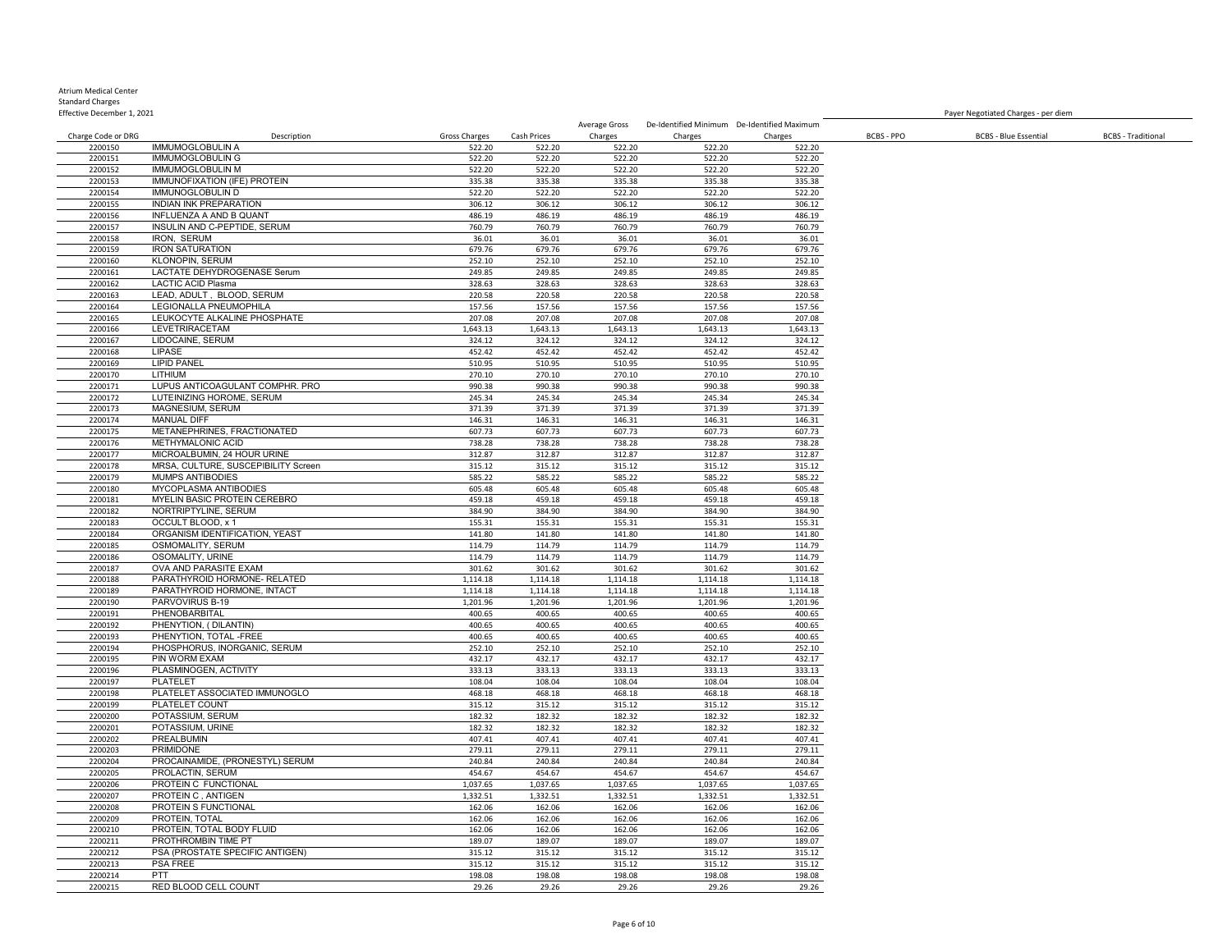| Effective December 1, 2021    |                                                     |                         |                  |                          |                  |                                             |            | Payer Negotiated Charges - per diem |                           |
|-------------------------------|-----------------------------------------------------|-------------------------|------------------|--------------------------|------------------|---------------------------------------------|------------|-------------------------------------|---------------------------|
|                               | Description                                         |                         | Cash Prices      | Average Gross<br>Charges | Charges          | De-Identified Minimum De-Identified Maximum | BCBS - PPO |                                     | <b>BCBS</b> - Traditional |
| Charge Code or DRG<br>2200150 | <b>IMMUMOGLOBULIN A</b>                             | Gross Charges<br>522.20 | 522.20           | 522.20                   | 522.20           | Charges<br>522.20                           |            | <b>BCBS - Blue Essential</b>        |                           |
| 2200151                       | <b>IMMUMOGLOBULIN G</b>                             | 522.20                  | 522.20           | 522.20                   | 522.20           | 522.20                                      |            |                                     |                           |
| 2200152                       | <b>IMMUMOGLOBULIN M</b>                             | 522.20                  | 522.20           | 522.20                   | 522.20           | 522.20                                      |            |                                     |                           |
| 2200153                       | IMMUNOFIXATION (IFE) PROTEIN                        | 335.38                  | 335.38           | 335.38                   | 335.38           | 335.38                                      |            |                                     |                           |
| 2200154                       | <b>IMMUNOGLOBULIN D</b>                             | 522.20                  | 522.20           | 522.20                   | 522.20           | 522.20                                      |            |                                     |                           |
| 2200155                       | <b>INDIAN INK PREPARATION</b>                       | 306.12                  | 306.12           | 306.12                   | 306.12           | 306.12                                      |            |                                     |                           |
| 2200156                       | INFLUENZA A AND B QUANT                             | 486.19                  | 486.19           | 486.19                   | 486.19           | 486.19                                      |            |                                     |                           |
| 2200157                       | INSULIN AND C-PEPTIDE, SERUM                        | 760.79                  | 760.79           | 760.79                   | 760.79           | 760.79                                      |            |                                     |                           |
| 2200158                       | <b>IRON. SERUM</b>                                  | 36.01                   | 36.01            | 36.01                    | 36.01            | 36.01                                       |            |                                     |                           |
| 2200159                       | <b>IRON SATURATION</b>                              | 679.76                  | 679.76           | 679.76                   | 679.76           | 679.76                                      |            |                                     |                           |
| 2200160                       | <b>KLONOPIN, SERUM</b>                              | 252.10                  | 252.10           | 252.10                   | 252.10           | 252.10                                      |            |                                     |                           |
| 2200161                       | <b>LACTATE DEHYDROGENASE Serum</b>                  | 249.85                  | 249.85           | 249.85                   | 249.85           | 249.85                                      |            |                                     |                           |
| 2200162                       | LACTIC ACID Plasma                                  | 328.63                  | 328.63           | 328.63                   | 328.63           | 328.63                                      |            |                                     |                           |
| 2200163                       | LEAD, ADULT, BLOOD, SERUM                           | 220.58                  | 220.58           | 220.58                   | 220.58           | 220.58                                      |            |                                     |                           |
| 2200164                       | LEGIONALLA PNEUMOPHILA                              | 157.56                  | 157.56           | 157.56                   | 157.56           | 157.56                                      |            |                                     |                           |
| 2200165                       | LEUKOCYTE ALKALINE PHOSPHATE                        | 207.08                  | 207.08           | 207.08                   | 207.08           | 207.08                                      |            |                                     |                           |
| 2200166                       | LEVETRIRACETAM                                      | 1,643.13                | 1,643.13         | 1,643.13                 | 1,643.13         | 1,643.13                                    |            |                                     |                           |
| 2200167                       | LIDOCAINE, SERUM                                    | 324.12                  | 324.12           | 324.12                   | 324.12           | 324.12                                      |            |                                     |                           |
| 2200168                       | LIPASE                                              | 452.42                  | 452.42           | 452.42                   | 452.42           | 452.42                                      |            |                                     |                           |
| 2200169                       | <b>LIPID PANEL</b>                                  | 510.95                  | 510.95           | 510.95                   | 510.95           | 510.95                                      |            |                                     |                           |
| 2200170                       | LITHIUM                                             | 270.10                  | 270.10           | 270.10                   | 270.10           | 270.10                                      |            |                                     |                           |
| 2200171                       | LUPUS ANTICOAGULANT COMPHR. PRO                     | 990.38                  | 990.38           | 990.38                   | 990.38           | 990.38                                      |            |                                     |                           |
| 2200172                       | LUTEINIZING HOROME, SERUM                           | 245.34                  | 245.34           | 245.34                   | 245.34           | 245.34                                      |            |                                     |                           |
| 2200173                       | MAGNESIUM, SERUM                                    | 371.39                  | 371.39           | 371.39                   | 371.39           | 371.39                                      |            |                                     |                           |
| 2200174                       | <b>MANUAL DIFF</b>                                  | 146.31                  | 146.31           | 146.31                   | 146.31           | 146.31                                      |            |                                     |                           |
| 2200175                       | METANEPHRINES, FRACTIONATED                         | 607.73                  | 607.73           | 607.73                   | 607.73           | 607.73                                      |            |                                     |                           |
| 2200176                       | METHYMALONIC ACID                                   | 738.28                  | 738.28           | 738.28                   | 738.28           | 738.28                                      |            |                                     |                           |
| 2200177                       | MICROALBUMIN, 24 HOUR URINE                         | 312.87                  | 312.87           | 312.87                   | 312.87           | 312.87                                      |            |                                     |                           |
| 2200178                       | MRSA, CULTURE, SUSCEPIBILITY Screen                 | 315.12                  | 315.12           | 315.12                   | 315.12           | 315.12                                      |            |                                     |                           |
| 2200179                       | <b>MUMPS ANTIBODIES</b>                             | 585.22                  | 585.22           | 585.22                   | 585.22           | 585.22                                      |            |                                     |                           |
| 2200180                       | MYCOPLASMA ANTIBODIES                               | 605.48                  | 605.48           | 605.48                   | 605.48           | 605.48                                      |            |                                     |                           |
| 2200181                       | MYELIN BASIC PROTEIN CEREBRO                        | 459.18                  | 459.18           | 459.18                   | 459.18           | 459.18                                      |            |                                     |                           |
| 2200182                       | NORTRIPTYLINE, SERUM                                | 384.90                  | 384.90           | 384.90                   | 384.90           | 384.90                                      |            |                                     |                           |
| 2200183                       | OCCULT BLOOD, x 1                                   | 155.31                  | 155.31           | 155.31                   | 155.31           | 155.31                                      |            |                                     |                           |
| 2200184<br>2200185            | ORGANISM IDENTIFICATION, YEAST<br>OSMOMALITY, SERUM | 141.80<br>114.79        | 141.80<br>114.79 | 141.80<br>114.79         | 141.80<br>114.79 | 141.80                                      |            |                                     |                           |
|                               | OSOMALITY, URINE                                    |                         |                  |                          |                  | 114.79                                      |            |                                     |                           |
| 2200186<br>2200187            | OVA AND PARASITE EXAM                               | 114.79<br>301.62        | 114.79<br>301.62 | 114.79<br>301.62         | 114.79<br>301.62 | 114.79<br>301.62                            |            |                                     |                           |
| 2200188                       | PARATHYROID HORMONE- RELATED                        | 1,114.18                | 1,114.18         | 1,114.18                 | 1,114.18         | 1,114.18                                    |            |                                     |                           |
| 2200189                       | PARATHYROID HORMONE, INTACT                         | 1,114.18                | 1,114.18         | 1,114.18                 | 1,114.18         | 1,114.18                                    |            |                                     |                           |
| 2200190                       | PARVOVIRUS B-19                                     | 1,201.96                | 1,201.96         | 1,201.96                 | 1,201.96         | 1,201.96                                    |            |                                     |                           |
| 2200191                       | PHENOBARBITAL                                       | 400.65                  | 400.65           | 400.65                   | 400.65           | 400.65                                      |            |                                     |                           |
| 2200192                       | PHENYTION, (DILANTIN)                               | 400.65                  | 400.65           | 400.65                   | 400.65           | 400.65                                      |            |                                     |                           |
| 2200193                       | PHENYTION, TOTAL -FREE                              | 400.65                  | 400.65           | 400.65                   | 400.65           | 400.65                                      |            |                                     |                           |
| 2200194                       | PHOSPHORUS, INORGANIC, SERUM                        | 252.10                  | 252.10           | 252.10                   | 252.10           | 252.10                                      |            |                                     |                           |
| 2200195                       | PIN WORM EXAM                                       | 432.17                  | 432.17           | 432.17                   | 432.17           | 432.17                                      |            |                                     |                           |
| 2200196                       | PLASMINOGEN, ACTIVITY                               | 333.13                  | 333.13           | 333.13                   | 333.13           | 333.13                                      |            |                                     |                           |
| 2200197                       | <b>PLATELET</b>                                     | 108.04                  | 108.04           | 108.04                   | 108.04           | 108.04                                      |            |                                     |                           |
| 2200198                       | PLATELET ASSOCIATED IMMUNOGLO                       | 468.18                  | 468.18           | 468.18                   | 468.18           | 468.18                                      |            |                                     |                           |
| 2200199                       | PLATELET COUNT                                      | 315.12                  | 315.12           | 315.12                   | 315.12           | 315.12                                      |            |                                     |                           |
| 2200200                       | POTASSIUM, SERUM                                    | 182.32                  | 182.32           | 182.32                   | 182.32           | 182.32                                      |            |                                     |                           |
| 2200201                       | POTASSIUM, URINE                                    | 182.32                  | 182.32           | 182.32                   | 182.32           | 182.32                                      |            |                                     |                           |
| 2200202                       | PREALBUMIN                                          | 407.41                  | 407.41           | 407.41                   | 407.41           | 407.41                                      |            |                                     |                           |
| 2200203                       | <b>PRIMIDONE</b>                                    | 279.11                  | 279.11           | 279.11                   | 279.11           | 279.11                                      |            |                                     |                           |
| 2200204                       | PROCAINAMIDE, (PRONESTYL) SERUM                     | 240.84                  | 240.84           | 240.84                   | 240.84           | 240.84                                      |            |                                     |                           |
| 2200205                       | PROLACTIN, SERUM                                    | 454.67                  | 454.67           | 454.67                   | 454.67           | 454.67                                      |            |                                     |                           |
| 2200206                       | PROTEIN C FUNCTIONAL                                | 1,037.65                | 1,037.65         | 1,037.65                 | 1,037.65         | 1,037.65                                    |            |                                     |                           |
| 2200207                       | PROTEIN C, ANTIGEN                                  | 1,332.51                | 1,332.51         | 1,332.51                 | 1,332.51         | 1,332.51                                    |            |                                     |                           |
| 2200208                       | PROTEIN S FUNCTIONAL                                | 162.06                  | 162.06           | 162.06                   | 162.06           | 162.06                                      |            |                                     |                           |
| 2200209                       | PROTEIN. TOTAL                                      | 162.06                  | 162.06           | 162.06                   | 162.06           | 162.06                                      |            |                                     |                           |
| 2200210                       | PROTEIN, TOTAL BODY FLUID                           | 162.06                  | 162.06           | 162.06                   | 162.06           | 162.06                                      |            |                                     |                           |
| 2200211                       | PROTHROMBIN TIME PT                                 | 189.07                  | 189.07           | 189.07                   | 189.07           | 189.07                                      |            |                                     |                           |
| 2200212                       | PSA (PROSTATE SPECIFIC ANTIGEN)                     | 315.12                  | 315.12           | 315.12                   | 315.12           | 315.12                                      |            |                                     |                           |

 PSA FREE 315.12 315.12 315.12 315.12 315.12 2200214 PTT 198.08 198.08 198.08 198.08 198.08 RED BLOOD CELL COUNT 29.26 29.26 29.26 29.26 29.26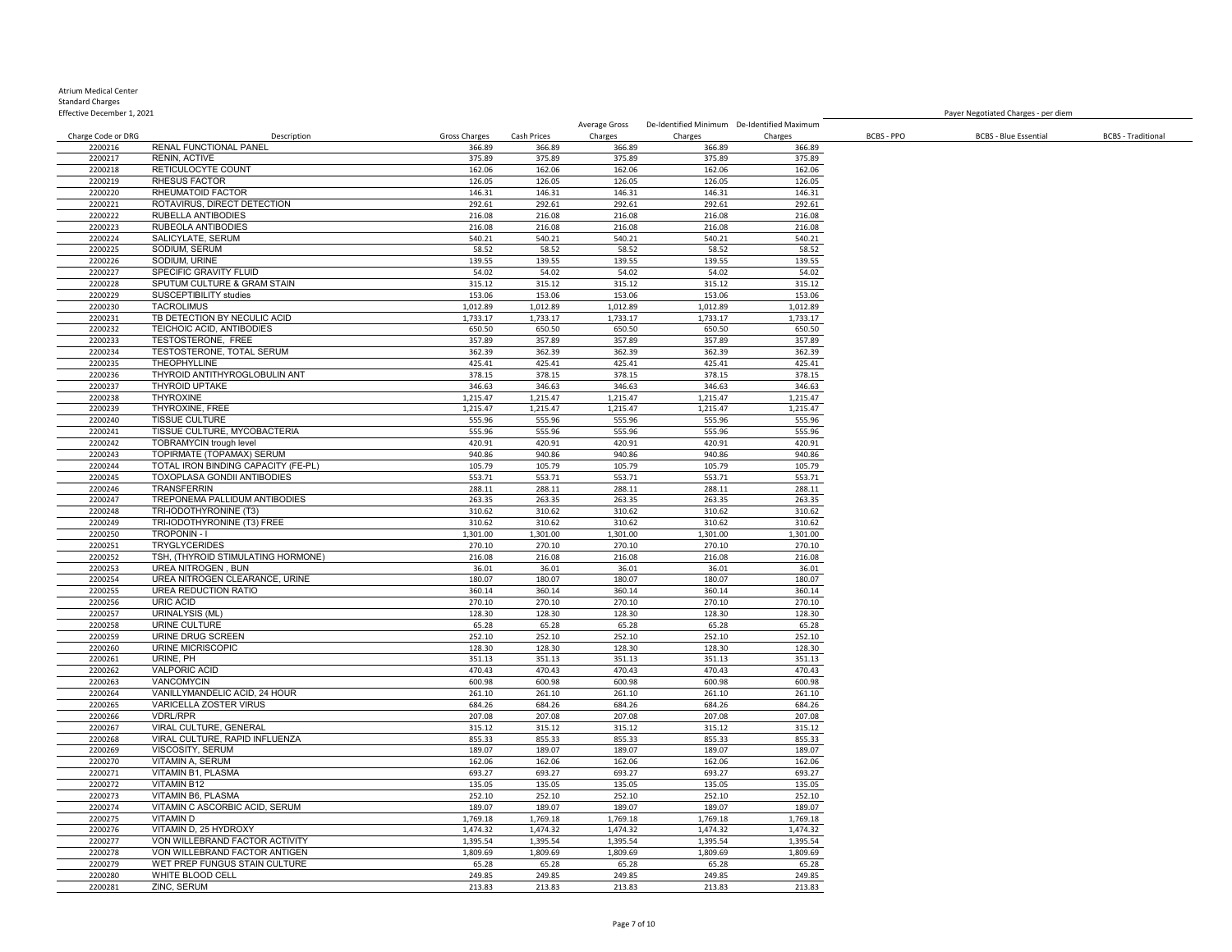| Effective December 1, 2021 |                                                       |                    |                    |                      |                      |                                             |                   | Payer Negotiated Charges - per diem |                           |
|----------------------------|-------------------------------------------------------|--------------------|--------------------|----------------------|----------------------|---------------------------------------------|-------------------|-------------------------------------|---------------------------|
|                            |                                                       |                    |                    | Average Gross        |                      | De-Identified Minimum De-Identified Maximum |                   |                                     |                           |
| Charge Code or DRG         | Description                                           | Gross Charges      | Cash Prices        | Charges              | Charges              | Charges                                     | <b>BCBS - PPO</b> | <b>BCBS - Blue Essential</b>        | <b>BCBS</b> - Traditional |
| 2200216                    | RENAL FUNCTIONAL PANEL                                | 366.89             | 366.89             | 366.89               | 366.89               | 366.89                                      |                   |                                     |                           |
| 2200217<br>2200218         | <b>RENIN, ACTIVE</b><br>RETICULOCYTE COUNT            | 375.89<br>162.06   | 375.89<br>162.06   | 375.89<br>162.06     | 375.89<br>162.06     | 375.89<br>162.06                            |                   |                                     |                           |
| 2200219                    | <b>RHESUS FACTOR</b>                                  | 126.05             | 126.05             | 126.05               | 126.05               | 126.05                                      |                   |                                     |                           |
| 2200220                    | RHEUMATOID FACTOR                                     | 146.31             | 146.31             | 146.31               | 146.31               | 146.31                                      |                   |                                     |                           |
| 2200221                    | ROTAVIRUS, DIRECT DETECTION                           | 292.61             | 292.61             | 292.61               | 292.61               | 292.61                                      |                   |                                     |                           |
| 2200222                    | RUBELLA ANTIBODIES                                    | 216.08             | 216.08             | 216.08               | 216.08               | 216.08                                      |                   |                                     |                           |
| 2200223                    | RUBEOLA ANTIBODIES                                    | 216.08             | 216.08             | 216.08               | 216.08               | 216.08                                      |                   |                                     |                           |
| 2200224                    | SALICYLATE, SERUM                                     | 540.21             | 540.21             | 540.21               | 540.21               | 540.21                                      |                   |                                     |                           |
| 2200225                    | SODIUM, SERUM                                         | 58.52              | 58.52              | 58.52                | 58.52                | 58.52                                       |                   |                                     |                           |
| 2200226                    | SODIUM, URINE                                         | 139.55             | 139.55             | 139.55               | 139.55               | 139.55                                      |                   |                                     |                           |
| 2200227<br>2200228         | SPECIFIC GRAVITY FLUID<br>SPUTUM CULTURE & GRAM STAIN | 54.02              | 54.02<br>315.12    | 54.02<br>315.12      | 54.02<br>315.12      | 54.02                                       |                   |                                     |                           |
| 2200229                    | SUSCEPTIBILITY studies                                | 315.12<br>153.06   | 153.06             | 153.06               | 153.06               | 315.12<br>153.06                            |                   |                                     |                           |
| 2200230                    | <b>TACROLIMUS</b>                                     | 1,012.89           | 1,012.89           | 1,012.89             | 1,012.89             | 1,012.89                                    |                   |                                     |                           |
| 2200231                    | TB DETECTION BY NECULIC ACID                          | 1,733.17           | 1,733.17           | 1,733.17             | 1,733.17             | 1,733.17                                    |                   |                                     |                           |
| 2200232                    | TEICHOIC ACID, ANTIBODIES                             | 650.50             | 650.50             | 650.50               | 650.50               | 650.50                                      |                   |                                     |                           |
| 2200233                    | TESTOSTERONE, FREE                                    | 357.89             | 357.89             | 357.89               | 357.89               | 357.89                                      |                   |                                     |                           |
| 2200234                    | TESTOSTERONE, TOTAL SERUM                             | 362.39             | 362.39             | 362.39               | 362.39               | 362.39                                      |                   |                                     |                           |
| 2200235                    | <b>THEOPHYLLINE</b>                                   | 425.41             | 425.41             | 425.41               | 425.41               | 425.41                                      |                   |                                     |                           |
| 2200236                    | THYROID ANTITHYROGLOBULIN ANT                         | 378.15             | 378.15             | 378.15               | 378.15               | 378.15                                      |                   |                                     |                           |
| 2200237                    | <b>THYROID UPTAKE</b>                                 | 346.63             | 346.63             | 346.63               | 346.63               | 346.63                                      |                   |                                     |                           |
| 2200238<br>2200239         | THYROXINE<br>THYROXINE, FREE                          | 1,215.47           | 1,215.47           | 1,215.47<br>1,215.47 | 1,215.47<br>1,215.47 | 1,215.47                                    |                   |                                     |                           |
| 2200240                    | <b>TISSUE CULTURE</b>                                 | 1,215.47<br>555.96 | 1,215.47<br>555.96 | 555.96               | 555.96               | 1,215.47<br>555.96                          |                   |                                     |                           |
| 2200241                    | TISSUE CULTURE, MYCOBACTERIA                          | 555.96             | 555.96             | 555.96               | 555.96               | 555.96                                      |                   |                                     |                           |
| 2200242                    | <b>TOBRAMYCIN</b> trough level                        | 420.91             | 420.91             | 420.91               | 420.91               | 420.91                                      |                   |                                     |                           |
| 2200243                    | TOPIRMATE (TOPAMAX) SERUM                             | 940.86             | 940.86             | 940.86               | 940.86               | 940.86                                      |                   |                                     |                           |
| 2200244                    | TOTAL IRON BINDING CAPACITY (FE-PL)                   | 105.79             | 105.79             | 105.79               | 105.79               | 105.79                                      |                   |                                     |                           |
| 2200245                    | <b>TOXOPLASA GONDII ANTIBODIES</b>                    | 553.71             | 553.71             | 553.71               | 553.71               | 553.71                                      |                   |                                     |                           |
| 2200246                    | <b>TRANSFERRIN</b>                                    | 288.11             | 288.11             | 288.11               | 288.11               | 288.11                                      |                   |                                     |                           |
| 2200247                    | TREPONEMA PALLIDUM ANTIBODIES                         | 263.35             | 263.35             | 263.35               | 263.35               | 263.35                                      |                   |                                     |                           |
| 2200248                    | TRI-IODOTHYRONINE (T3)                                | 310.62             | 310.62             | 310.62               | 310.62               | 310.62                                      |                   |                                     |                           |
| 2200249<br>2200250         | TRI-IODOTHYRONINE (T3) FREE<br><b>TROPONIN-I</b>      | 310.62<br>1,301.00 | 310.62<br>1,301.00 | 310.62<br>1,301.00   | 310.62<br>1,301.00   | 310.62<br>1,301.00                          |                   |                                     |                           |
| 2200251                    | <b>TRYGLYCERIDES</b>                                  | 270.10             | 270.10             | 270.10               | 270.10               | 270.10                                      |                   |                                     |                           |
| 2200252                    | TSH, (THYROID STIMULATING HORMONE)                    | 216.08             | 216.08             | 216.08               | 216.08               | 216.08                                      |                   |                                     |                           |
| 2200253                    | UREA NITROGEN, BUN                                    | 36.01              | 36.01              | 36.01                | 36.01                | 36.01                                       |                   |                                     |                           |
| 2200254                    | UREA NITROGEN CLEARANCE, URINE                        | 180.07             | 180.07             | 180.07               | 180.07               | 180.07                                      |                   |                                     |                           |
| 2200255                    | UREA REDUCTION RATIO                                  | 360.14             | 360.14             | 360.14               | 360.14               | 360.14                                      |                   |                                     |                           |
| 2200256                    | URIC ACID                                             | 270.10             | 270.10             | 270.10               | 270.10               | 270.10                                      |                   |                                     |                           |
| 2200257                    | URINALYSIS (ML)                                       | 128.30             | 128.30             | 128.30               | 128.30               | 128.30                                      |                   |                                     |                           |
| 2200258                    | URINE CULTURE                                         | 65.28              | 65.28              | 65.28                | 65.28                | 65.28                                       |                   |                                     |                           |
| 2200259<br>2200260         | URINE DRUG SCREEN<br><b>URINE MICRISCOPIC</b>         | 252.10<br>128.30   | 252.10<br>128.30   | 252.10<br>128.30     | 252.10<br>128.30     | 252.10<br>128.30                            |                   |                                     |                           |
| 2200261                    | URINE, PH                                             | 351.13             | 351.13             | 351.13               | 351.13               | 351.13                                      |                   |                                     |                           |
| 2200262                    | <b>VALPORIC ACID</b>                                  | 470.43             | 470.43             | 470.43               | 470.43               | 470.43                                      |                   |                                     |                           |
| 2200263                    | VANCOMYCIN                                            | 600.98             | 600.98             | 600.98               | 600.98               | 600.98                                      |                   |                                     |                           |
| 2200264                    | VANILLYMANDELIC ACID, 24 HOUR                         | 261.10             | 261.10             | 261.10               | 261.10               | 261.10                                      |                   |                                     |                           |
| 2200265                    | VARICELLA ZOSTER VIRUS                                | 684.26             | 684.26             | 684.26               | 684.26               | 684.26                                      |                   |                                     |                           |
| 2200266                    | <b>VDRL/RPR</b>                                       | 207.08             | 207.08             | 207.08               | 207.08               | 207.08                                      |                   |                                     |                           |
| 2200267                    | VIRAL CULTURE, GENERAL                                | 315.12             | 315.12             | 315.12               | 315.12               | 315.12                                      |                   |                                     |                           |
| 2200268                    | VIRAL CULTURE, RAPID INFLUENZA                        | 855.33             | 855.33             | 855.33               | 855.33               | 855.33                                      |                   |                                     |                           |
| 2200269                    | VISCOSITY, SERUM<br>VITAMIN A, SERUM                  | 189.07             | 189.07             | 189.07               | 189.07               | 189.07                                      |                   |                                     |                           |
| 2200270<br>2200271         | VITAMIN B1, PLASMA                                    | 162.06<br>693.27   | 162.06<br>693.27   | 162.06<br>693.27     | 162.06<br>693.27     | 162.06<br>693.27                            |                   |                                     |                           |
| 2200272                    | <b>VITAMIN B12</b>                                    | 135.05             | 135.05             | 135.05               | 135.05               | 135.05                                      |                   |                                     |                           |
| 2200273                    | <b>VITAMIN B6, PLASMA</b>                             | 252.10             | 252.10             | 252.10               | 252.10               | 252.10                                      |                   |                                     |                           |
| 2200274                    | VITAMIN C ASCORBIC ACID, SERUM                        | 189.07             | 189.07             | 189.07               | 189.07               | 189.07                                      |                   |                                     |                           |
| 2200275                    | <b>VITAMIND</b>                                       | 1,769.18           | 1,769.18           | 1,769.18             | 1,769.18             | 1,769.18                                    |                   |                                     |                           |
| 2200276                    | VITAMIN D, 25 HYDROXY                                 | 1,474.32           | 1,474.32           | 1,474.32             | 1,474.32             | 1,474.32                                    |                   |                                     |                           |
| 2200277                    | VON WILLEBRAND FACTOR ACTIVITY                        | 1,395.54           | 1,395.54           | 1,395.54             | 1,395.54             | 1,395.54                                    |                   |                                     |                           |
| 2200278                    | VON WILLEBRAND FACTOR ANTIGEN                         | 1,809.69           | 1,809.69           | 1,809.69             | 1,809.69             | 1,809.69                                    |                   |                                     |                           |
| 2200279                    | WET PREP FUNGUS STAIN CULTURE                         | 65.28              | 65.28              | 65.28                | 65.28                | 65.28                                       |                   |                                     |                           |
| 2200280                    | WHITE BLOOD CELL                                      | 249.85             | 249.85             | 249.85               | 249.85               | 249.85                                      |                   |                                     |                           |
| 2200281                    | ZINC, SERUM                                           | 213.83             | 213.83             | 213.83               | 213.83               | 213.83                                      |                   |                                     |                           |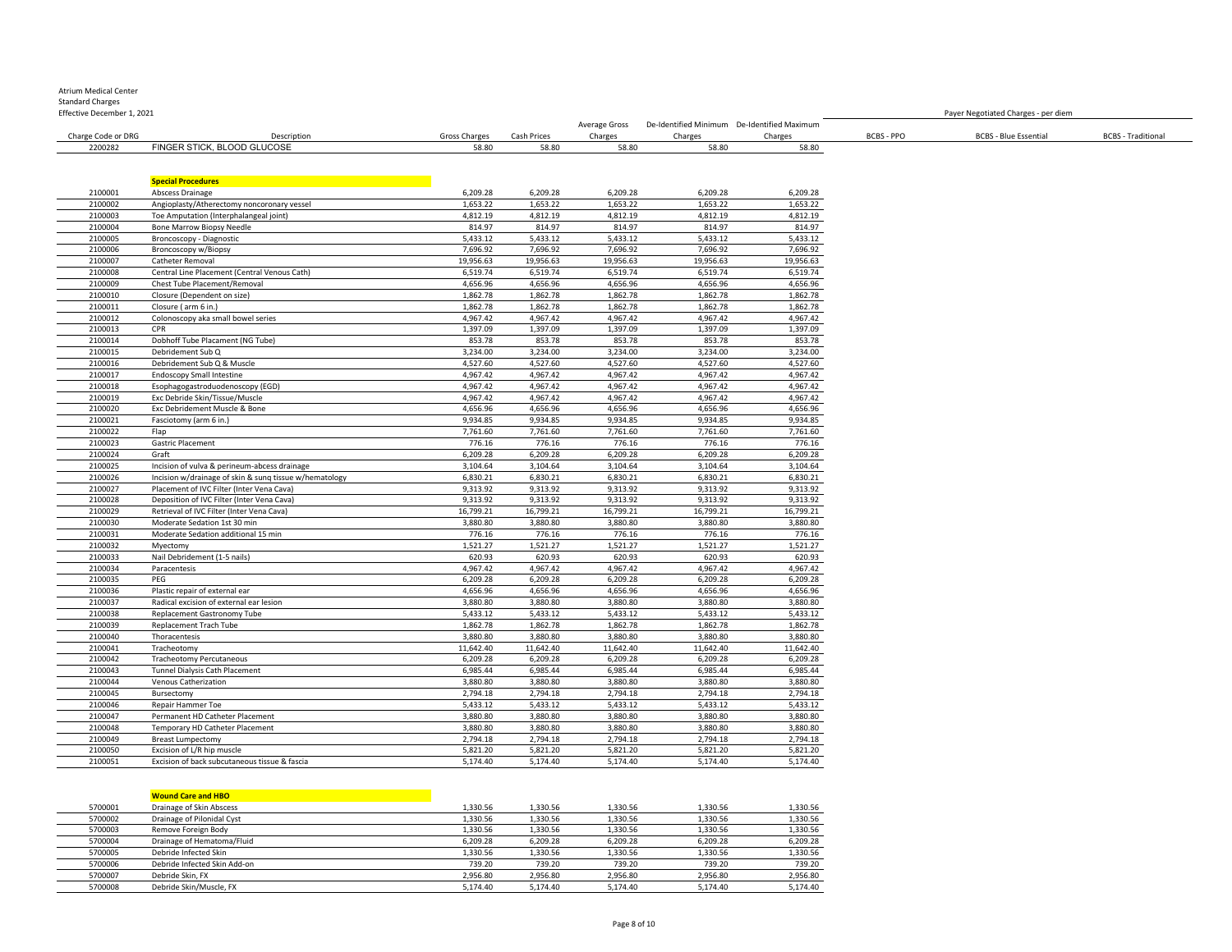## Atrium Medical Center

Standard Charges

| Effective December 1, 2021 |                             |               |             |               |                                             |              |            | Payer Negotiated Charges - per diem |                           |
|----------------------------|-----------------------------|---------------|-------------|---------------|---------------------------------------------|--------------|------------|-------------------------------------|---------------------------|
|                            |                             |               |             | Average Gross | De-Identified Minimum De-Identified Maximum |              |            |                                     |                           |
| Charge Code or DRG         | Description                 | Gross Charges | Cash Prices | Charges       | Charges                                     | .<br>Charges | BCBS - PPO | <b>BCBS - Blue Essential</b>        | <b>BCBS</b> - Traditional |
| 2200282                    | FINGER STICK, BLOOD GLUCOSE | 58.80         | 58.80       | 58.80         | 58.80                                       | 58.80        |            |                                     |                           |

|         | <b>Special Procedures</b>                              |           |           |           |           |           |
|---------|--------------------------------------------------------|-----------|-----------|-----------|-----------|-----------|
| 2100001 | Abscess Drainage                                       | 6,209.28  | 6,209.28  | 6,209.28  | 6,209.28  | 6,209.28  |
| 2100002 | Angioplasty/Atherectomy noncoronary vessel             | 1,653.22  | 1,653.22  | 1,653.22  | 1,653.22  | 1,653.22  |
| 2100003 | Toe Amputation (Interphalangeal joint)                 | 4,812.19  | 4,812.19  | 4,812.19  | 4,812.19  | 4,812.19  |
| 2100004 | <b>Bone Marrow Biopsy Needle</b>                       | 814.97    | 814.97    | 814.97    | 814.97    | 814.97    |
| 2100005 | Broncoscopy - Diagnostic                               | 5,433.12  | 5,433.12  | 5,433.12  | 5,433.12  | 5,433.12  |
| 2100006 | <b>Broncoscopy w/Biopsy</b>                            | 7,696.92  | 7,696.92  | 7,696.92  | 7,696.92  | 7,696.92  |
| 2100007 | Catheter Removal                                       | 19,956.63 | 19,956.63 | 19,956.63 | 19,956.63 | 19,956.63 |
| 2100008 | Central Line Placement (Central Venous Cath)           | 6,519.74  | 6,519.74  | 6,519.74  | 6,519.74  | 6,519.74  |
| 2100009 | Chest Tube Placement/Removal                           | 4,656.96  | 4,656.96  | 4,656.96  | 4,656.96  | 4,656.96  |
| 2100010 | Closure (Dependent on size)                            | 1,862.78  | 1,862.78  | 1,862.78  | 1,862.78  | 1,862.78  |
| 2100011 | Closure (arm 6 in.)                                    | 1,862.78  | 1,862.78  | 1,862.78  | 1,862.78  | 1,862.78  |
| 2100012 | Colonoscopy aka small bowel series                     | 4,967.42  | 4,967.42  | 4,967.42  | 4,967.42  | 4,967.42  |
| 2100013 | CPR                                                    | 1,397.09  | 1,397.09  | 1,397.09  | 1,397.09  | 1,397.09  |
| 2100014 | Dobhoff Tube Placament (NG Tube)                       | 853.78    | 853.78    | 853.78    | 853.78    | 853.78    |
| 2100015 | Debridement Sub Q                                      | 3,234.00  | 3,234.00  | 3,234.00  | 3,234.00  | 3,234.00  |
| 2100016 | Debridement Sub Q & Muscle                             | 4,527.60  | 4,527.60  | 4,527.60  | 4,527.60  | 4,527.60  |
| 2100017 | <b>Endoscopy Small Intestine</b>                       | 4,967.42  | 4,967.42  | 4,967.42  | 4,967.42  | 4,967.42  |
| 2100018 | Esophagogastroduodenoscopy (EGD)                       | 4,967.42  | 4,967.42  | 4,967.42  | 4,967.42  | 4,967.42  |
| 2100019 | Exc Debride Skin/Tissue/Muscle                         | 4,967.42  | 4,967.42  | 4,967.42  | 4,967.42  | 4,967.42  |
| 2100020 | Exc Debridement Muscle & Bone                          | 4,656.96  | 4,656.96  | 4,656.96  | 4,656.96  | 4,656.96  |
| 2100021 | Fasciotomy (arm 6 in.)                                 | 9,934.85  | 9,934.85  | 9,934.85  | 9,934.85  | 9,934.85  |
| 2100022 | Flap                                                   | 7,761.60  | 7,761.60  | 7,761.60  | 7,761.60  | 7,761.60  |
| 2100023 | Gastric Placement                                      | 776.16    | 776.16    | 776.16    | 776.16    | 776.16    |
| 2100024 | Graft                                                  | 6,209.28  | 6,209.28  | 6,209.28  | 6,209.28  | 6,209.28  |
| 2100025 | Incision of vulva & perineum-abcess drainage           | 3,104.64  | 3,104.64  | 3,104.64  | 3,104.64  | 3,104.64  |
| 2100026 | Incision w/drainage of skin & sung tissue w/hematology | 6,830.21  | 6,830.21  | 6,830.21  | 6,830.21  | 6,830.21  |
| 2100027 | Placement of IVC Filter (Inter Vena Cava)              | 9,313.92  | 9,313.92  | 9,313.92  | 9,313.92  | 9,313.92  |
| 2100028 | Deposition of IVC Filter (Inter Vena Cava)             | 9,313.92  | 9,313.92  | 9,313.92  | 9,313.92  | 9,313.92  |
| 2100029 | Retrieval of IVC Filter (Inter Vena Cava)              | 16,799.21 | 16,799.21 | 16,799.21 | 16,799.21 | 16,799.21 |
| 2100030 | Moderate Sedation 1st 30 min                           | 3,880.80  | 3,880.80  | 3,880.80  | 3,880.80  | 3,880.80  |
| 2100031 | Moderate Sedation additional 15 min                    | 776.16    | 776.16    | 776.16    | 776.16    | 776.16    |
| 2100032 | Myectomy                                               | 1,521.27  | 1,521.27  | 1,521.27  | 1,521.27  | 1,521.27  |
| 2100033 | Nail Debridement (1-5 nails)                           | 620.93    | 620.93    | 620.93    | 620.93    | 620.93    |
| 2100034 | Paracentesis                                           | 4,967.42  | 4,967.42  | 4,967.42  | 4,967.42  | 4,967.42  |
| 2100035 | PEG                                                    | 6,209.28  | 6,209.28  | 6,209.28  | 6,209.28  | 6,209.28  |
| 2100036 | Plastic repair of external ear                         | 4,656.96  | 4,656.96  | 4,656.96  | 4,656.96  | 4,656.96  |
| 2100037 | Radical excision of external ear lesion                | 3,880.80  | 3,880.80  | 3,880.80  | 3,880.80  | 3,880.80  |
| 2100038 | Replacement Gastronomy Tube                            | 5,433.12  | 5,433.12  | 5,433.12  | 5,433.12  | 5,433.12  |
| 2100039 | Replacement Trach Tube                                 | 1,862.78  | 1,862.78  | 1,862.78  | 1,862.78  | 1,862.78  |
| 2100040 | Thoracentesis                                          | 3,880.80  | 3,880.80  | 3,880.80  | 3,880.80  | 3,880.80  |
| 2100041 | Tracheotomv                                            | 11,642.40 | 11,642.40 | 11,642.40 | 11,642.40 | 11,642.40 |
| 2100042 | <b>Tracheotomy Percutaneous</b>                        | 6,209.28  | 6,209.28  | 6,209.28  | 6,209.28  | 6,209.28  |
| 2100043 | Tunnel Dialysis Cath Placement                         | 6,985.44  | 6,985.44  | 6,985.44  | 6,985.44  | 6,985.44  |
| 2100044 | Venous Catherization                                   | 3,880.80  | 3,880.80  | 3,880.80  | 3,880.80  | 3,880.80  |
| 2100045 | Bursectomy                                             | 2,794.18  | 2,794.18  | 2,794.18  | 2,794.18  | 2,794.18  |
| 2100046 | Repair Hammer Toe                                      | 5,433.12  | 5,433.12  | 5,433.12  | 5,433.12  | 5,433.12  |
| 2100047 | Permanent HD Catheter Placement                        | 3,880.80  | 3,880.80  | 3,880.80  | 3,880.80  | 3,880.80  |
| 2100048 | Temporary HD Catheter Placement                        | 3,880.80  | 3,880.80  | 3,880.80  | 3,880.80  | 3,880.80  |
| 2100049 | <b>Breast Lumpectomy</b>                               | 2,794.18  | 2,794.18  | 2,794.18  | 2,794.18  | 2,794.18  |
| 2100050 | Excision of L/R hip muscle                             | 5,821.20  | 5,821.20  | 5,821.20  | 5,821.20  | 5,821.20  |
| 2100051 | Excision of back subcutaneous tissue & fascia          | 5,174.40  | 5,174.40  | 5,174.40  | 5,174.40  | 5,174.40  |
|         |                                                        |           |           |           |           |           |

| <b>Wound Care and HBO</b> |  |
|---------------------------|--|
|---------------------------|--|

|         | <b>Wound Care and HBO</b>    |          |          |          |          |          |
|---------|------------------------------|----------|----------|----------|----------|----------|
| 5700001 | Drainage of Skin Abscess     | 1.330.56 | 1.330.56 | 1.330.56 | 1.330.56 | 1,330.56 |
| 5700002 | Drainage of Pilonidal Cyst   | 1.330.56 | 1.330.56 | 1.330.56 | 1,330.56 | 1,330.56 |
| 5700003 | Remove Foreign Body          | 1,330.56 | 1.330.56 | 1.330.56 | 1,330.56 | 1,330.56 |
| 5700004 | Drainage of Hematoma/Fluid   | 6.209.28 | 6.209.28 | 6.209.28 | 6.209.28 | 6,209.28 |
| 5700005 | Debride Infected Skin        | 1.330.56 | 1.330.56 | 1.330.56 | 1.330.56 | 1,330.56 |
| 5700006 | Debride Infected Skin Add-on | 739.20   | 739.20   | 739.20   | 739.20   | 739.20   |
| 5700007 | Debride Skin, FX             | 2.956.80 | 2.956.80 | 2.956.80 | 2.956.80 | 2,956.80 |
| 5700008 | Debride Skin/Muscle, FX      | 5.174.40 | 5.174.40 | 5.174.40 | 5.174.40 | 5.174.40 |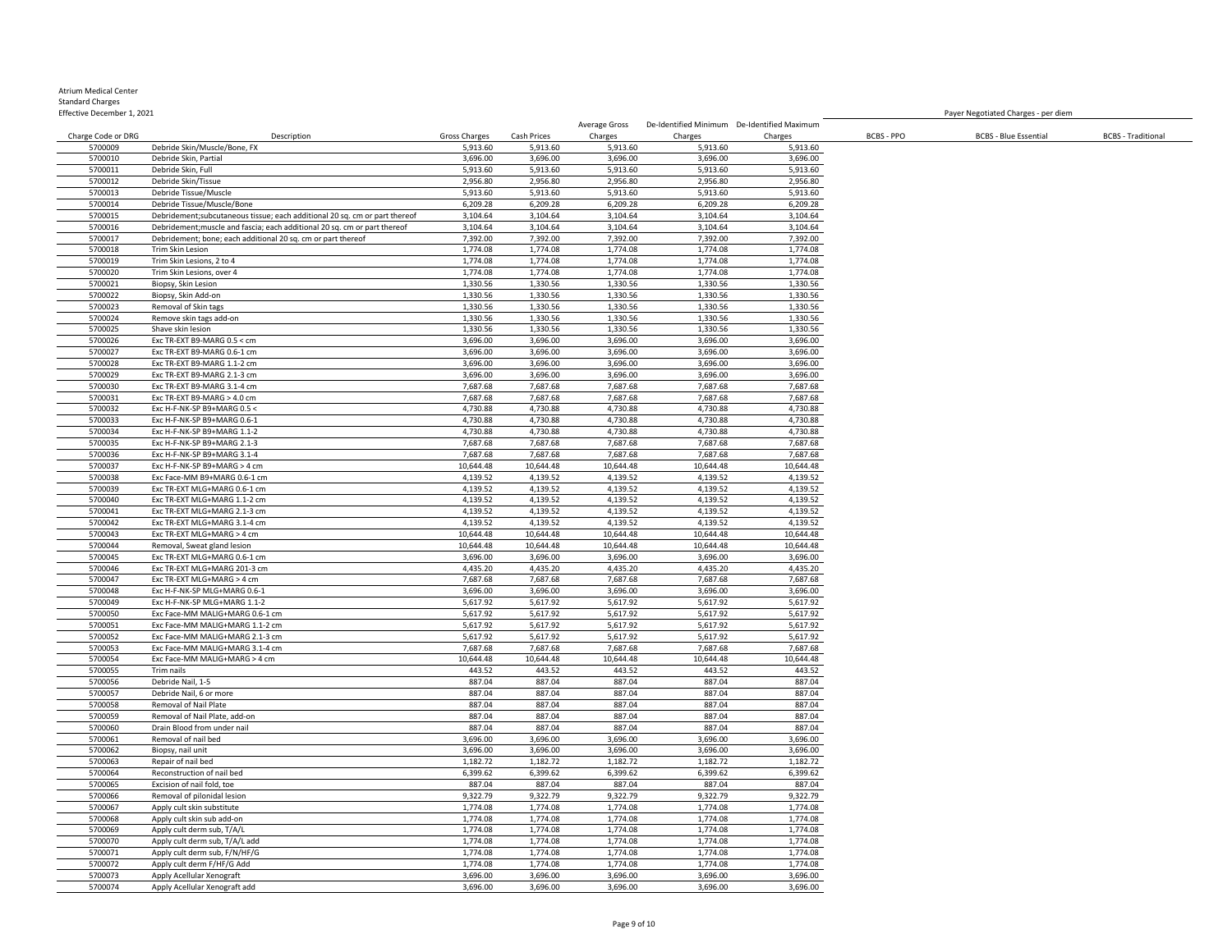| Effective December 1, 2021 |                                                                             |                      |                      |                      |                      |                                             |            | Payer Negotiated Charges - per diem |                           |
|----------------------------|-----------------------------------------------------------------------------|----------------------|----------------------|----------------------|----------------------|---------------------------------------------|------------|-------------------------------------|---------------------------|
|                            |                                                                             |                      |                      | Average Gross        |                      | De-Identified Minimum De-Identified Maximum |            |                                     |                           |
| Charge Code or DRG         | Description                                                                 | Gross Charges        | Cash Prices          | Charges              | Charges              | Charges                                     | BCBS - PPO | <b>BCBS - Blue Essential</b>        | <b>BCBS</b> - Traditional |
| 5700009<br>5700010         | Debride Skin/Muscle/Bone, FX<br>Debride Skin, Partial                       | 5,913.60<br>3,696.00 | 5,913.60<br>3,696.00 | 5,913.60<br>3,696.00 | 5,913.60<br>3,696.00 | 5,913.60<br>3,696.00                        |            |                                     |                           |
| 5700011                    | Debride Skin, Full                                                          | 5,913.60             | 5,913.60             | 5,913.60             | 5,913.60             | 5,913.60                                    |            |                                     |                           |
| 5700012                    | Debride Skin/Tissue                                                         | 2,956.80             | 2,956.80             | 2,956.80             | 2,956.80             | 2,956.80                                    |            |                                     |                           |
| 5700013                    | Debride Tissue/Muscle                                                       | 5,913.60             | 5,913.60             | 5,913.60             | 5,913.60             | 5,913.60                                    |            |                                     |                           |
| 5700014                    | Debride Tissue/Muscle/Bone                                                  | 6,209.28             | 6,209.28             | 6,209.28             | 6,209.28             | 6,209.28                                    |            |                                     |                           |
| 5700015                    | Debridement; subcutaneous tissue; each additional 20 sq. cm or part thereof | 3,104.64             | 3,104.64             | 3,104.64             | 3,104.64             | 3,104.64                                    |            |                                     |                           |
| 5700016                    | Debridement; muscle and fascia; each additional 20 sq. cm or part thereof   | 3,104.64             | 3,104.64             | 3,104.64             | 3,104.64             | 3,104.64                                    |            |                                     |                           |
| 5700017                    | Debridement; bone; each additional 20 sq. cm or part thereof                | 7,392.00             | 7,392.00             | 7,392.00             | 7,392.00             | 7,392.00                                    |            |                                     |                           |
| 5700018                    | Trim Skin Lesion                                                            | 1,774.08             | 1,774.08             | 1,774.08             | 1,774.08             | 1,774.08                                    |            |                                     |                           |
| 5700019                    | Trim Skin Lesions, 2 to 4                                                   | 1,774.08             | 1,774.08             | 1,774.08             | 1,774.08             | 1,774.08                                    |            |                                     |                           |
| 5700020                    | Trim Skin Lesions, over 4                                                   | 1.774.08             | 1.774.08             | 1,774.08             | 1,774.08             | 1,774.08                                    |            |                                     |                           |
| 5700021                    | Biopsy, Skin Lesion                                                         | 1,330.56             | 1,330.56             | 1,330.56             | 1,330.56             | 1,330.56                                    |            |                                     |                           |
| 5700022<br>5700023         | Biopsy, Skin Add-on<br>Removal of Skin tags                                 | 1,330.56<br>1,330.56 | 1,330.56<br>1,330.56 | 1,330.56<br>1,330.56 | 1,330.56<br>1,330.56 | 1,330.56<br>1,330.56                        |            |                                     |                           |
| 5700024                    | Remove skin tags add-on                                                     | 1,330.56             | 1,330.56             | 1,330.56             | 1,330.56             | 1,330.56                                    |            |                                     |                           |
| 5700025                    | Shave skin lesion                                                           | 1,330.56             | 1,330.56             | 1,330.56             | 1,330.56             | 1,330.56                                    |            |                                     |                           |
| 5700026                    | Exc TR-EXT B9-MARG 0.5 < cm                                                 | 3,696.00             | 3,696.00             | 3,696.00             | 3,696.00             | 3,696.00                                    |            |                                     |                           |
| 5700027                    | Exc TR-EXT B9-MARG 0.6-1 cm                                                 | 3,696.00             | 3,696.00             | 3,696.00             | 3,696.00             | 3,696.00                                    |            |                                     |                           |
| 5700028                    | Exc TR-EXT B9-MARG 1.1-2 cm                                                 | 3,696.00             | 3,696.00             | 3,696.00             | 3,696.00             | 3,696.00                                    |            |                                     |                           |
| 5700029                    | Exc TR-EXT B9-MARG 2.1-3 cm                                                 | 3,696.00             | 3,696.00             | 3,696.00             | 3,696.00             | 3,696.00                                    |            |                                     |                           |
| 5700030                    | Exc TR-EXT B9-MARG 3.1-4 cm                                                 | 7,687.68             | 7,687.68             | 7,687.68             | 7,687.68             | 7,687.68                                    |            |                                     |                           |
| 5700031                    | Exc TR-EXT B9-MARG > 4.0 cm                                                 | 7,687.68             | 7,687.68             | 7,687.68             | 7,687.68             | 7,687.68                                    |            |                                     |                           |
| 5700032                    | Exc H-F-NK-SP B9+MARG 0.5 <                                                 | 4,730.88             | 4,730.88             | 4,730.88             | 4,730.88             | 4,730.88                                    |            |                                     |                           |
| 5700033                    | Exc H-F-NK-SP B9+MARG 0.6-1                                                 | 4,730.88             | 4,730.88             | 4,730.88             | 4,730.88             | 4,730.88                                    |            |                                     |                           |
| 5700034                    | Exc H-F-NK-SP B9+MARG 1.1-2                                                 | 4,730.88             | 4,730.88             | 4,730.88             | 4,730.88             | 4,730.88                                    |            |                                     |                           |
| 5700035<br>5700036         | Exc H-F-NK-SP B9+MARG 2.1-3<br>Exc H-F-NK-SP B9+MARG 3.1-4                  | 7,687.68<br>7,687.68 | 7,687.68<br>7,687.68 | 7,687.68<br>7,687.68 | 7,687.68<br>7,687.68 | 7,687.68<br>7,687.68                        |            |                                     |                           |
| 5700037                    | Exc H-F-NK-SP B9+MARG > 4 cm                                                | 10,644.48            | 10,644.48            | 10,644.48            | 10,644.48            | 10,644.48                                   |            |                                     |                           |
| 5700038                    | Exc Face-MM B9+MARG 0.6-1 cm                                                | 4,139.52             | 4,139.52             | 4,139.52             | 4,139.52             | 4,139.52                                    |            |                                     |                           |
| 5700039                    | Exc TR-EXT MLG+MARG 0.6-1 cm                                                | 4,139.52             | 4,139.52             | 4,139.52             | 4,139.52             | 4,139.52                                    |            |                                     |                           |
| 5700040                    | Exc TR-EXT MLG+MARG 1.1-2 cm                                                | 4,139.52             | 4,139.52             | 4,139.52             | 4,139.52             | 4,139.52                                    |            |                                     |                           |
| 5700041                    | Exc TR-EXT MLG+MARG 2.1-3 cm                                                | 4,139.52             | 4,139.52             | 4,139.52             | 4,139.52             | 4,139.52                                    |            |                                     |                           |
| 5700042                    | Exc TR-EXT MLG+MARG 3.1-4 cm                                                | 4,139.52             | 4,139.52             | 4,139.52             | 4,139.52             | 4,139.52                                    |            |                                     |                           |
| 5700043                    | Exc TR-EXT MLG+MARG > 4 cm                                                  | 10,644.48            | 10,644.48            | 10,644.48            | 10,644.48            | 10,644.48                                   |            |                                     |                           |
| 5700044                    | Removal, Sweat gland lesion                                                 | 10,644.48            | 10,644.48            | 10,644.48            | 10,644.48            | 10,644.48                                   |            |                                     |                           |
| 5700045                    | Exc TR-EXT MLG+MARG 0.6-1 cm                                                | 3,696.00             | 3,696.00             | 3,696.00             | 3,696.00             | 3,696.00                                    |            |                                     |                           |
| 5700046                    | Exc TR-EXT MLG+MARG 201-3 cm                                                | 4,435.20             | 4,435.20             | 4,435.20             | 4,435.20             | 4,435.20                                    |            |                                     |                           |
| 5700047<br>5700048         | Exc TR-EXT MLG+MARG > 4 cm<br>Exc H-F-NK-SP MLG+MARG 0.6-1                  | 7,687.68             | 7,687.68             | 7,687.68<br>3,696.00 | 7,687.68<br>3,696.00 | 7,687.68<br>3,696.00                        |            |                                     |                           |
| 5700049                    | Exc H-F-NK-SP MLG+MARG 1.1-2                                                | 3,696.00<br>5,617.92 | 3,696.00<br>5,617.92 | 5,617.92             | 5,617.92             | 5,617.92                                    |            |                                     |                           |
| 5700050                    | Exc Face-MM MALIG+MARG 0.6-1 cm                                             | 5,617.92             | 5,617.92             | 5,617.92             | 5,617.92             | 5,617.92                                    |            |                                     |                           |
| 5700051                    | Exc Face-MM MALIG+MARG 1.1-2 cm                                             | 5,617.92             | 5,617.92             | 5,617.92             | 5,617.92             | 5,617.92                                    |            |                                     |                           |
| 5700052                    | Exc Face-MM MALIG+MARG 2.1-3 cm                                             | 5,617.92             | 5,617.92             | 5,617.92             | 5,617.92             | 5,617.92                                    |            |                                     |                           |
| 5700053                    | Exc Face-MM MALIG+MARG 3.1-4 cm                                             | 7,687.68             | 7,687.68             | 7,687.68             | 7,687.68             | 7,687.68                                    |            |                                     |                           |
| 5700054                    | Exc Face-MM MALIG+MARG > 4 cm                                               | 10,644.48            | 10,644.48            | 10,644.48            | 10,644.48            | 10,644.48                                   |            |                                     |                           |
| 5700055                    | Trim nails                                                                  | 443.52               | 443.52               | 443.52               | 443.52               | 443.52                                      |            |                                     |                           |
| 5700056                    | Debride Nail, 1-5                                                           | 887.04               | 887.04               | 887.04               | 887.04               | 887.04                                      |            |                                     |                           |
| 5700057                    | Debride Nail, 6 or more                                                     | 887.04               | 887.04               | 887.04               | 887.04               | 887.04                                      |            |                                     |                           |
| 5700058<br>5700059         | Removal of Nail Plate<br>Removal of Nail Plate, add-on                      | 887.04<br>887.04     | 887.04<br>887.04     | 887.04<br>887.04     | 887.04<br>887.04     | 887.04<br>887.04                            |            |                                     |                           |
| 5700060                    | Drain Blood from under nail                                                 | 887.04               | 887.04               | 887.04               | 887.04               | 887.04                                      |            |                                     |                           |
| 5700061                    | Removal of nail bed                                                         | 3,696.00             | 3,696.00             | 3,696.00             | 3,696.00             | 3,696.00                                    |            |                                     |                           |
| 5700062                    | Biopsy, nail unit                                                           | 3,696.00             | 3,696.00             | 3,696.00             | 3,696.00             | 3,696.00                                    |            |                                     |                           |
| 5700063                    | Repair of nail bed                                                          | 1,182.72             | 1,182.72             | 1,182.72             | 1,182.72             | 1,182.72                                    |            |                                     |                           |
| 5700064                    | Reconstruction of nail bed                                                  | 6,399.62             | 6,399.62             | 6,399.62             | 6,399.62             | 6,399.62                                    |            |                                     |                           |
| 5700065                    | Excision of nail fold, toe                                                  | 887.04               | 887.04               | 887.04               | 887.04               | 887.04                                      |            |                                     |                           |
| 5700066                    | Removal of pilonidal lesion                                                 | 9,322.79             | 9,322.79             | 9,322.79             | 9,322.79             | 9,322.79                                    |            |                                     |                           |
| 5700067                    | Apply cult skin substitute                                                  | 1,774.08             | 1,774.08             | 1,774.08             | 1,774.08             | 1,774.08                                    |            |                                     |                           |
| 5700068                    | Apply cult skin sub add-on                                                  | 1,774.08             | 1,774.08             | 1,774.08             | 1,774.08             | 1,774.08                                    |            |                                     |                           |
| 5700069                    | Apply cult derm sub, T/A/L                                                  | 1,774.08             | 1,774.08             | 1,774.08             | 1,774.08             | 1,774.08                                    |            |                                     |                           |
| 5700070                    | Apply cult derm sub, T/A/L add                                              | 1,774.08             | 1,774.08             | 1,774.08             | 1,774.08             | 1,774.08                                    |            |                                     |                           |
| 5700071<br>5700072         | Apply cult derm sub, F/N/HF/G<br>Apply cult derm F/HF/G Add                 | 1,774.08<br>1,774.08 | 1,774.08<br>1,774.08 | 1,774.08<br>1,774.08 | 1,774.08<br>1,774.08 | 1,774.08<br>1,774.08                        |            |                                     |                           |
|                            |                                                                             |                      |                      |                      |                      |                                             |            |                                     |                           |

5700072 Apply cult derm F/HF/G Add 1,774.08 1,774.08 1,774.08 1,774.08 1,774.08 1,774.08 1,774.08 1,774.08 1,774.08 1,774.08 1,774.08 1,774.08 1,774.08 1,774.08 1,774.08 1,774.08 1,774.08 1,774.08 1,774.08 1,774.08 1,774.0 Apply Acellular Xenograft 3,696.00 3,696.00 3,696.00 3,696.00 3,696.00 5700074 Apply Acellular Xenograft add 3,696.00 3,696.00 3,696.00 3,696.00 3,696.00